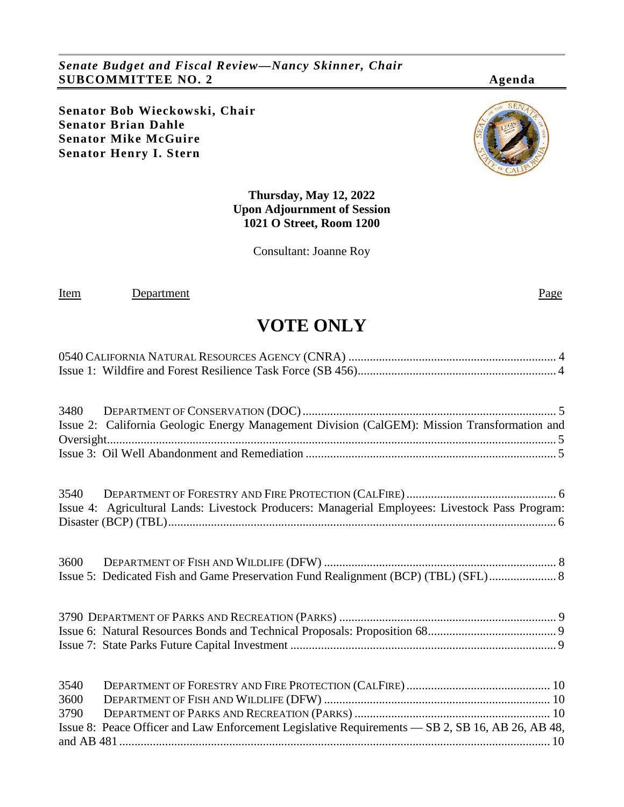*Senate Budget and Fiscal Review—Nancy Skinner, Chair* **SUBCOMMITTEE NO. 2 Agenda**

**Senator Bob Wieckowski, Chair Senator Brian Dahle Senator Mike McGuire Senator Henry I. Stern**



**Thursday, May 12, 2022 Upon Adjournment of Session 1021 O Street, Room 1200**

Consultant: Joanne Roy

Item Department Page

# **VOTE ONLY**

|      | Issue 2: California Geologic Energy Management Division (CalGEM): Mission Transformation and     |
|------|--------------------------------------------------------------------------------------------------|
|      |                                                                                                  |
|      |                                                                                                  |
|      |                                                                                                  |
|      | Issue 4: Agricultural Lands: Livestock Producers: Managerial Employees: Livestock Pass Program:  |
|      |                                                                                                  |
|      |                                                                                                  |
|      | Issue 5: Dedicated Fish and Game Preservation Fund Realignment (BCP) (TBL) (SFL)  8              |
|      |                                                                                                  |
|      |                                                                                                  |
|      |                                                                                                  |
| 3540 |                                                                                                  |
| 3600 |                                                                                                  |
| 3790 |                                                                                                  |
|      | Issue 8: Peace Officer and Law Enforcement Legislative Requirements — SB 2, SB 16, AB 26, AB 48, |
|      |                                                                                                  |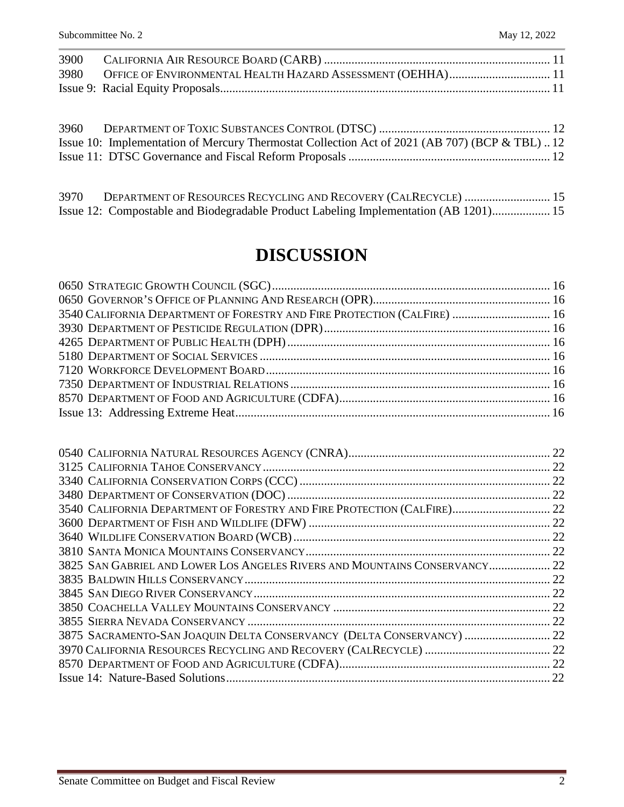| Issue 10: Implementation of Mercury Thermostat Collection Act of 2021 (AB 707) (BCP & TBL)12 |  |
|----------------------------------------------------------------------------------------------|--|
|                                                                                              |  |

| 3970 | DEPARTMENT OF RESOURCES RECYCLING AND RECOVERY (CALRECYCLE)  15                      |  |
|------|--------------------------------------------------------------------------------------|--|
|      | Issue 12: Compostable and Biodegradable Product Labeling Implementation (AB 1201) 15 |  |

# **DISCUSSION**

| 3540 CALIFORNIA DEPARTMENT OF FORESTRY AND FIRE PROTECTION (CALFIRE)  16 |  |
|--------------------------------------------------------------------------|--|
|                                                                          |  |
|                                                                          |  |
|                                                                          |  |
|                                                                          |  |
|                                                                          |  |
|                                                                          |  |
|                                                                          |  |

|                                                                            | 22 |
|----------------------------------------------------------------------------|----|
|                                                                            |    |
|                                                                            |    |
|                                                                            |    |
| 3540 CALIFORNIA DEPARTMENT OF FORESTRY AND FIRE PROTECTION (CALFIRE) 22    |    |
|                                                                            |    |
|                                                                            |    |
|                                                                            |    |
| 3825 SAN GABRIEL AND LOWER LOS ANGELES RIVERS AND MOUNTAINS CONSERVANCY 22 |    |
|                                                                            | 22 |
|                                                                            |    |
|                                                                            |    |
|                                                                            | 22 |
| 3875 SACRAMENTO-SAN JOAQUIN DELTA CONSERVANCY (DELTA CONSERVANCY)  22      |    |
|                                                                            |    |
|                                                                            |    |
|                                                                            |    |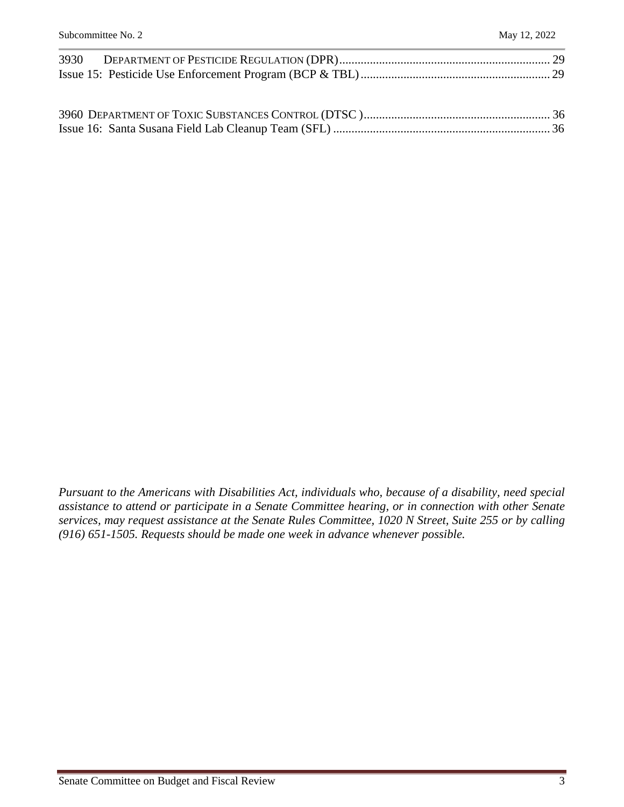*Pursuant to the Americans with Disabilities Act, individuals who, because of a disability, need special assistance to attend or participate in a Senate Committee hearing, or in connection with other Senate services, may request assistance at the Senate Rules Committee, 1020 N Street, Suite 255 or by calling (916) 651-1505. Requests should be made one week in advance whenever possible.*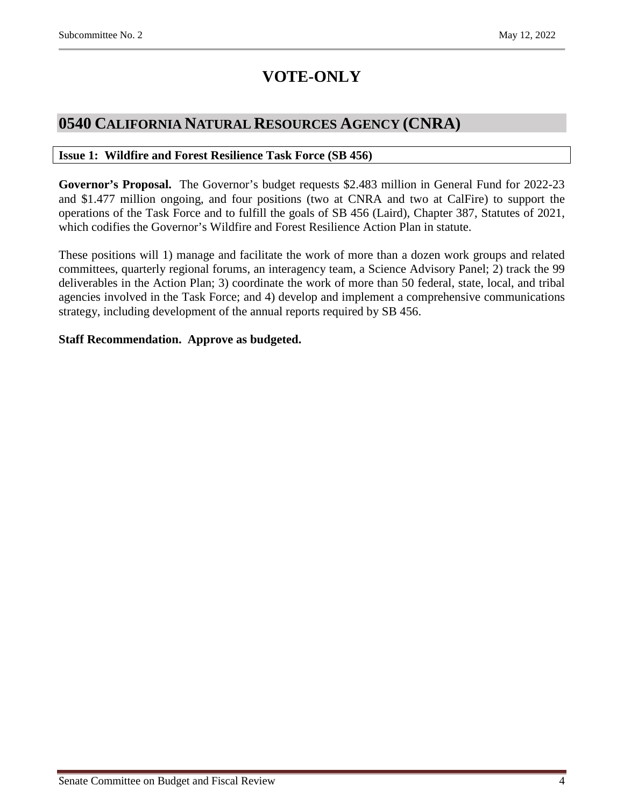# **VOTE-ONLY**

## <span id="page-3-0"></span>**0540 CALIFORNIA NATURAL RESOURCES AGENCY (CNRA)**

#### <span id="page-3-1"></span>**Issue 1: Wildfire and Forest Resilience Task Force (SB 456)**

**Governor's Proposal.** The Governor's budget requests \$2.483 million in General Fund for 2022-23 and \$1.477 million ongoing, and four positions (two at CNRA and two at CalFire) to support the operations of the Task Force and to fulfill the goals of SB 456 (Laird), Chapter 387, Statutes of 2021, which codifies the Governor's Wildfire and Forest Resilience Action Plan in statute.

These positions will 1) manage and facilitate the work of more than a dozen work groups and related committees, quarterly regional forums, an interagency team, a Science Advisory Panel; 2) track the 99 deliverables in the Action Plan; 3) coordinate the work of more than 50 federal, state, local, and tribal agencies involved in the Task Force; and 4) develop and implement a comprehensive communications strategy, including development of the annual reports required by SB 456.

#### **Staff Recommendation. Approve as budgeted.**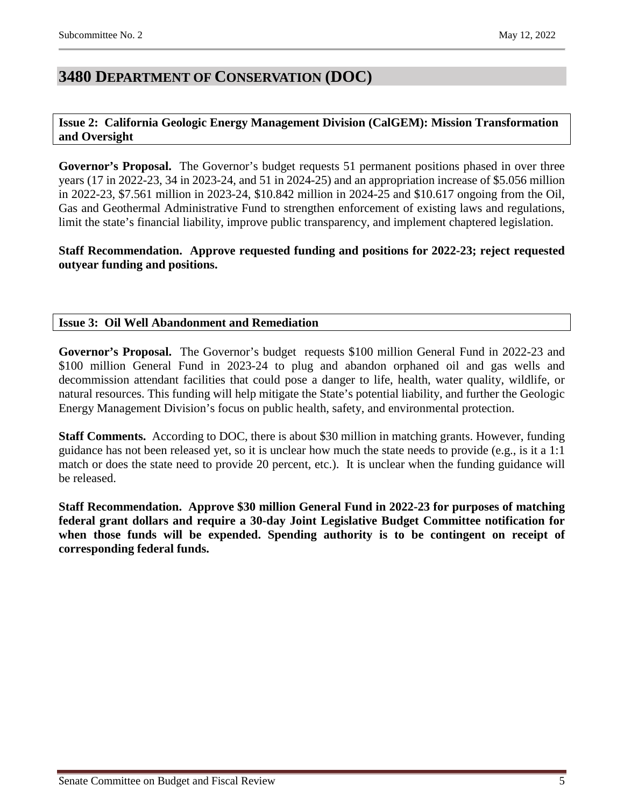## <span id="page-4-0"></span>**3480 DEPARTMENT OF CONSERVATION (DOC)**

#### <span id="page-4-1"></span>**Issue 2: California Geologic Energy Management Division (CalGEM): Mission Transformation and Oversight**

**Governor's Proposal.** The Governor's budget requests 51 permanent positions phased in over three years (17 in 2022-23, 34 in 2023-24, and 51 in 2024-25) and an appropriation increase of \$5.056 million in 2022-23, \$7.561 million in 2023-24, \$10.842 million in 2024-25 and \$10.617 ongoing from the Oil, Gas and Geothermal Administrative Fund to strengthen enforcement of existing laws and regulations, limit the state's financial liability, improve public transparency, and implement chaptered legislation.

**Staff Recommendation. Approve requested funding and positions for 2022-23; reject requested outyear funding and positions.**

#### <span id="page-4-2"></span>**Issue 3: Oil Well Abandonment and Remediation**

**Governor's Proposal.** The Governor's budget requests \$100 million General Fund in 2022-23 and \$100 million General Fund in 2023-24 to plug and abandon orphaned oil and gas wells and decommission attendant facilities that could pose a danger to life, health, water quality, wildlife, or natural resources. This funding will help mitigate the State's potential liability, and further the Geologic Energy Management Division's focus on public health, safety, and environmental protection.

**Staff Comments.** According to DOC, there is about \$30 million in matching grants. However, funding guidance has not been released yet, so it is unclear how much the state needs to provide (e.g., is it a 1:1 match or does the state need to provide 20 percent, etc.). It is unclear when the funding guidance will be released.

**Staff Recommendation. Approve \$30 million General Fund in 2022-23 for purposes of matching federal grant dollars and require a 30-day Joint Legislative Budget Committee notification for when those funds will be expended. Spending authority is to be contingent on receipt of corresponding federal funds.**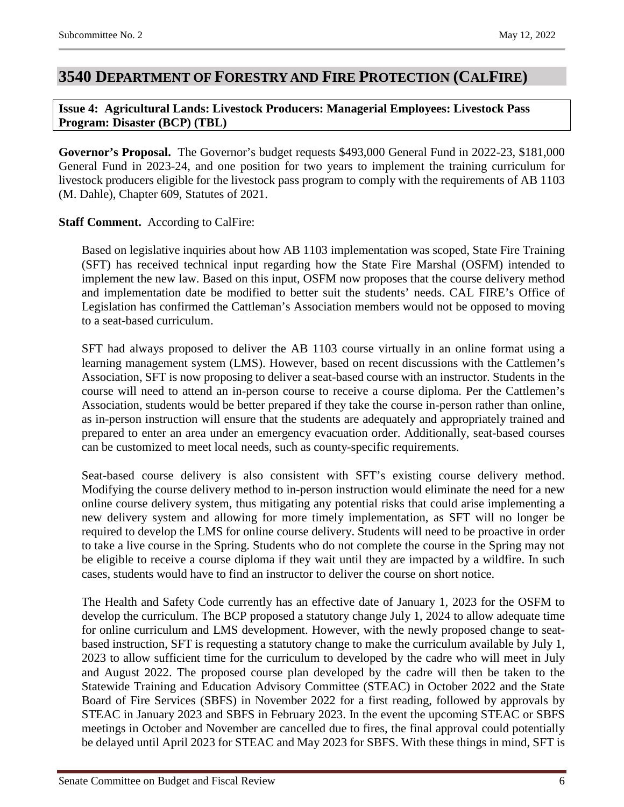## <span id="page-5-0"></span>**3540 DEPARTMENT OF FORESTRY AND FIRE PROTECTION (CALFIRE)**

#### <span id="page-5-1"></span>**Issue 4: Agricultural Lands: Livestock Producers: Managerial Employees: Livestock Pass Program: Disaster (BCP) (TBL)**

**Governor's Proposal.** The Governor's budget requests \$493,000 General Fund in 2022-23, \$181,000 General Fund in 2023-24, and one position for two years to implement the training curriculum for livestock producers eligible for the livestock pass program to comply with the requirements of AB 1103 (M. Dahle), Chapter 609, Statutes of 2021.

#### **Staff Comment.** According to CalFire:

Based on legislative inquiries about how AB 1103 implementation was scoped, State Fire Training (SFT) has received technical input regarding how the State Fire Marshal (OSFM) intended to implement the new law. Based on this input, OSFM now proposes that the course delivery method and implementation date be modified to better suit the students' needs. CAL FIRE's Office of Legislation has confirmed the Cattleman's Association members would not be opposed to moving to a seat-based curriculum.

SFT had always proposed to deliver the AB 1103 course virtually in an online format using a learning management system (LMS). However, based on recent discussions with the Cattlemen's Association, SFT is now proposing to deliver a seat-based course with an instructor. Students in the course will need to attend an in-person course to receive a course diploma. Per the Cattlemen's Association, students would be better prepared if they take the course in-person rather than online, as in-person instruction will ensure that the students are adequately and appropriately trained and prepared to enter an area under an emergency evacuation order. Additionally, seat-based courses can be customized to meet local needs, such as county-specific requirements.

Seat-based course delivery is also consistent with SFT's existing course delivery method. Modifying the course delivery method to in-person instruction would eliminate the need for a new online course delivery system, thus mitigating any potential risks that could arise implementing a new delivery system and allowing for more timely implementation, as SFT will no longer be required to develop the LMS for online course delivery. Students will need to be proactive in order to take a live course in the Spring. Students who do not complete the course in the Spring may not be eligible to receive a course diploma if they wait until they are impacted by a wildfire. In such cases, students would have to find an instructor to deliver the course on short notice.

The Health and Safety Code currently has an effective date of January 1, 2023 for the OSFM to develop the curriculum. The BCP proposed a statutory change July 1, 2024 to allow adequate time for online curriculum and LMS development. However, with the newly proposed change to seatbased instruction, SFT is requesting a statutory change to make the curriculum available by July 1, 2023 to allow sufficient time for the curriculum to developed by the cadre who will meet in July and August 2022. The proposed course plan developed by the cadre will then be taken to the Statewide Training and Education Advisory Committee (STEAC) in October 2022 and the State Board of Fire Services (SBFS) in November 2022 for a first reading, followed by approvals by STEAC in January 2023 and SBFS in February 2023. In the event the upcoming STEAC or SBFS meetings in October and November are cancelled due to fires, the final approval could potentially be delayed until April 2023 for STEAC and May 2023 for SBFS. With these things in mind, SFT is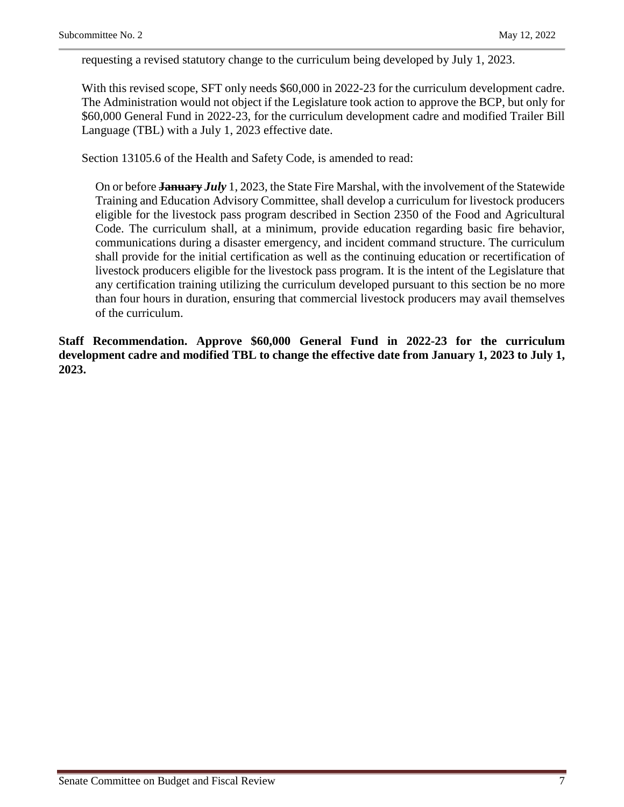requesting a revised statutory change to the curriculum being developed by July 1, 2023.

With this revised scope, SFT only needs \$60,000 in 2022-23 for the curriculum development cadre. The Administration would not object if the Legislature took action to approve the BCP, but only for \$60,000 General Fund in 2022-23, for the curriculum development cadre and modified Trailer Bill Language (TBL) with a July 1, 2023 effective date.

Section 13105.6 of the Health and Safety Code, is amended to read:

On or before **January** *July* 1, 2023, the State Fire Marshal, with the involvement of the Statewide Training and Education Advisory Committee, shall develop a curriculum for livestock producers eligible for the livestock pass program described in Section 2350 of the Food and Agricultural Code. The curriculum shall, at a minimum, provide education regarding basic fire behavior, communications during a disaster emergency, and incident command structure. The curriculum shall provide for the initial certification as well as the continuing education or recertification of livestock producers eligible for the livestock pass program. It is the intent of the Legislature that any certification training utilizing the curriculum developed pursuant to this section be no more than four hours in duration, ensuring that commercial livestock producers may avail themselves of the curriculum.

**Staff Recommendation. Approve \$60,000 General Fund in 2022-23 for the curriculum development cadre and modified TBL to change the effective date from January 1, 2023 to July 1, 2023.**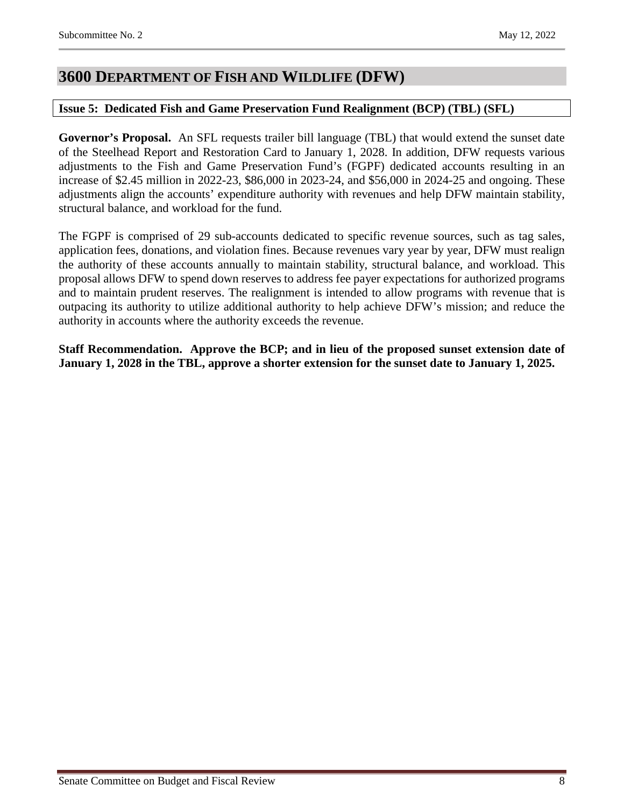## <span id="page-7-0"></span>**3600 DEPARTMENT OF FISH AND WILDLIFE (DFW)**

#### <span id="page-7-1"></span>**Issue 5: Dedicated Fish and Game Preservation Fund Realignment (BCP) (TBL) (SFL)**

**Governor's Proposal.** An SFL requests trailer bill language (TBL) that would extend the sunset date of the Steelhead Report and Restoration Card to January 1, 2028. In addition, DFW requests various adjustments to the Fish and Game Preservation Fund's (FGPF) dedicated accounts resulting in an increase of \$2.45 million in 2022-23, \$86,000 in 2023-24, and \$56,000 in 2024-25 and ongoing. These adjustments align the accounts' expenditure authority with revenues and help DFW maintain stability, structural balance, and workload for the fund.

The FGPF is comprised of 29 sub-accounts dedicated to specific revenue sources, such as tag sales, application fees, donations, and violation fines. Because revenues vary year by year, DFW must realign the authority of these accounts annually to maintain stability, structural balance, and workload. This proposal allows DFW to spend down reserves to address fee payer expectations for authorized programs and to maintain prudent reserves. The realignment is intended to allow programs with revenue that is outpacing its authority to utilize additional authority to help achieve DFW's mission; and reduce the authority in accounts where the authority exceeds the revenue.

**Staff Recommendation. Approve the BCP; and in lieu of the proposed sunset extension date of January 1, 2028 in the TBL, approve a shorter extension for the sunset date to January 1, 2025.**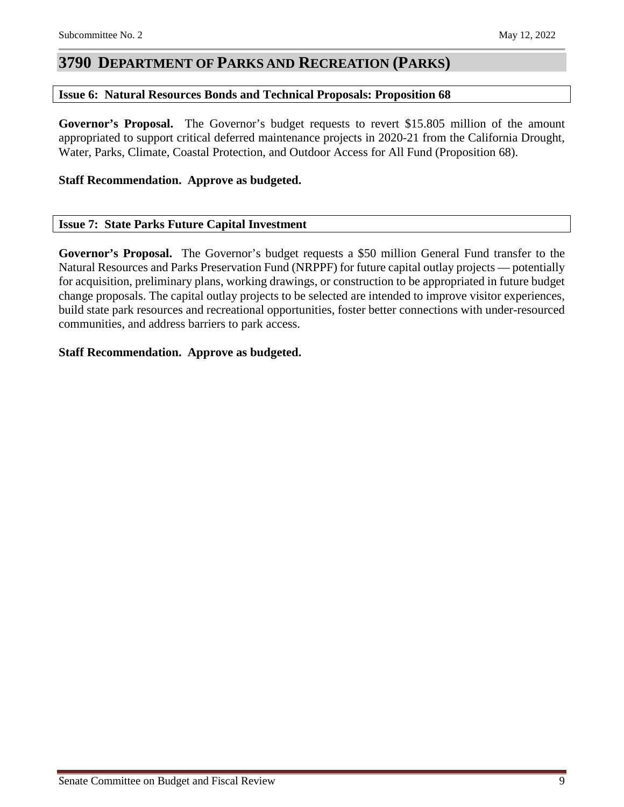## <span id="page-8-0"></span>**3790 DEPARTMENT OF PARKS AND RECREATION (PARKS)**

#### <span id="page-8-1"></span>**Issue 6: Natural Resources Bonds and Technical Proposals: Proposition 68**

**Governor's Proposal.** The Governor's budget requests to revert \$15.805 million of the amount appropriated to support critical deferred maintenance projects in 2020-21 from the California Drought, Water, Parks, Climate, Coastal Protection, and Outdoor Access for All Fund (Proposition 68).

#### **Staff Recommendation. Approve as budgeted.**

#### <span id="page-8-2"></span>**Issue 7: State Parks Future Capital Investment**

**Governor's Proposal.** The Governor's budget requests a \$50 million General Fund transfer to the Natural Resources and Parks Preservation Fund (NRPPF) for future capital outlay projects — potentially for acquisition, preliminary plans, working drawings, or construction to be appropriated in future budget change proposals. The capital outlay projects to be selected are intended to improve visitor experiences, build state park resources and recreational opportunities, foster better connections with under-resourced communities, and address barriers to park access.

#### **Staff Recommendation. Approve as budgeted.**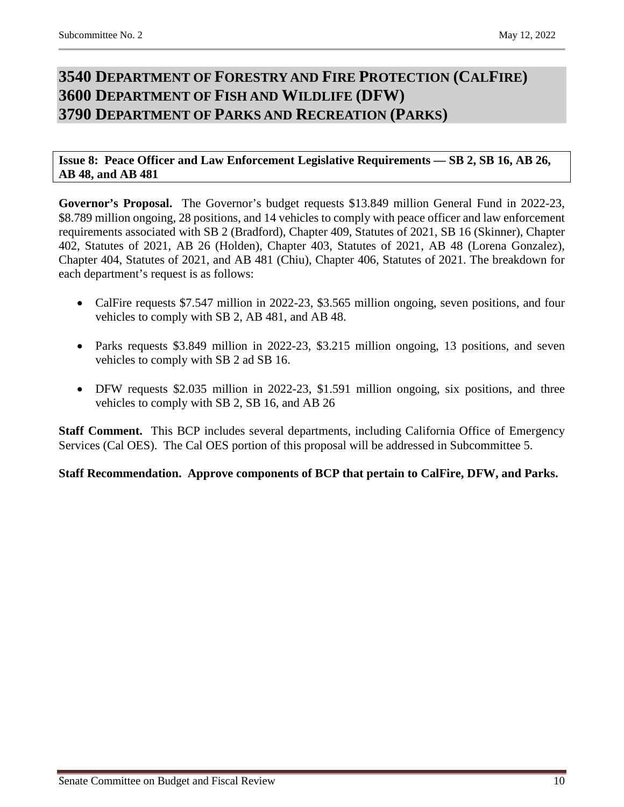## <span id="page-9-2"></span><span id="page-9-1"></span><span id="page-9-0"></span>**3540 DEPARTMENT OF FORESTRY AND FIRE PROTECTION (CALFIRE) 3600 DEPARTMENT OF FISH AND WILDLIFE (DFW) 3790 DEPARTMENT OF PARKS AND RECREATION (PARKS)**

<span id="page-9-3"></span>**Issue 8: Peace Officer and Law Enforcement Legislative Requirements — SB 2, SB 16, AB 26, AB 48, and AB 481**

**Governor's Proposal.** The Governor's budget requests \$13.849 million General Fund in 2022-23, \$8.789 million ongoing, 28 positions, and 14 vehicles to comply with peace officer and law enforcement requirements associated with SB 2 (Bradford), Chapter 409, Statutes of 2021, SB 16 (Skinner), Chapter 402, Statutes of 2021, AB 26 (Holden), Chapter 403, Statutes of 2021, AB 48 (Lorena Gonzalez), Chapter 404, Statutes of 2021, and AB 481 (Chiu), Chapter 406, Statutes of 2021. The breakdown for each department's request is as follows:

- CalFire requests \$7.547 million in 2022-23, \$3.565 million ongoing, seven positions, and four vehicles to comply with SB 2, AB 481, and AB 48.
- Parks requests \$3.849 million in 2022-23, \$3.215 million ongoing, 13 positions, and seven vehicles to comply with SB 2 ad SB 16.
- DFW requests \$2.035 million in 2022-23, \$1.591 million ongoing, six positions, and three vehicles to comply with SB 2, SB 16, and AB 26

**Staff Comment.** This BCP includes several departments, including California Office of Emergency Services (Cal OES). The Cal OES portion of this proposal will be addressed in Subcommittee 5.

**Staff Recommendation. Approve components of BCP that pertain to CalFire, DFW, and Parks.**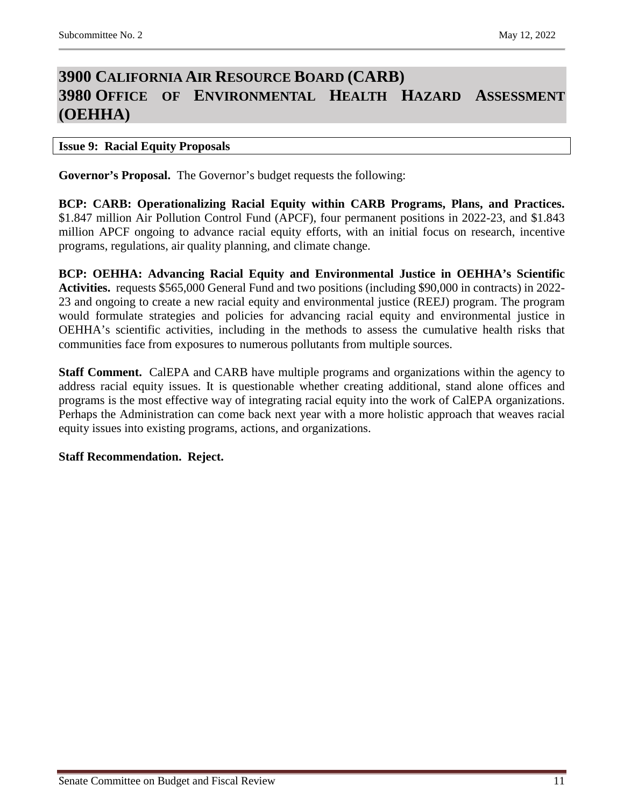## <span id="page-10-1"></span><span id="page-10-0"></span>**3900 CALIFORNIA AIR RESOURCE BOARD (CARB) 3980 OFFICE OF ENVIRONMENTAL HEALTH HAZARD ASSESSMENT (OEHHA)**

#### <span id="page-10-2"></span>**Issue 9: Racial Equity Proposals**

**Governor's Proposal.** The Governor's budget requests the following:

**BCP: CARB: Operationalizing Racial Equity within CARB Programs, Plans, and Practices.** \$1.847 million Air Pollution Control Fund (APCF), four permanent positions in 2022-23, and \$1.843 million APCF ongoing to advance racial equity efforts, with an initial focus on research, incentive programs, regulations, air quality planning, and climate change.

**BCP: OEHHA: Advancing Racial Equity and Environmental Justice in OEHHA's Scientific Activities.** requests \$565,000 General Fund and two positions (including \$90,000 in contracts) in 2022- 23 and ongoing to create a new racial equity and environmental justice (REEJ) program. The program would formulate strategies and policies for advancing racial equity and environmental justice in OEHHA's scientific activities, including in the methods to assess the cumulative health risks that communities face from exposures to numerous pollutants from multiple sources.

**Staff Comment.** CalEPA and CARB have multiple programs and organizations within the agency to address racial equity issues. It is questionable whether creating additional, stand alone offices and programs is the most effective way of integrating racial equity into the work of CalEPA organizations. Perhaps the Administration can come back next year with a more holistic approach that weaves racial equity issues into existing programs, actions, and organizations.

#### **Staff Recommendation. Reject.**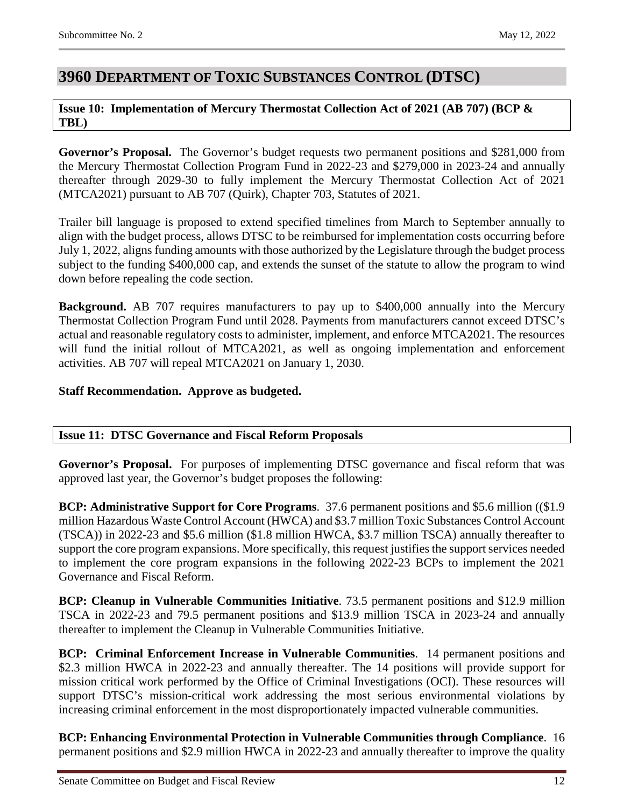## <span id="page-11-0"></span>**3960 DEPARTMENT OF TOXIC SUBSTANCES CONTROL (DTSC)**

#### <span id="page-11-1"></span>**Issue 10: Implementation of Mercury Thermostat Collection Act of 2021 (AB 707) (BCP & TBL)**

**Governor's Proposal.** The Governor's budget requests two permanent positions and \$281,000 from the Mercury Thermostat Collection Program Fund in 2022-23 and \$279,000 in 2023-24 and annually thereafter through 2029-30 to fully implement the Mercury Thermostat Collection Act of 2021 (MTCA2021) pursuant to AB 707 (Quirk), Chapter 703, Statutes of 2021.

Trailer bill language is proposed to extend specified timelines from March to September annually to align with the budget process, allows DTSC to be reimbursed for implementation costs occurring before July 1, 2022, aligns funding amounts with those authorized by the Legislature through the budget process subject to the funding \$400,000 cap, and extends the sunset of the statute to allow the program to wind down before repealing the code section.

**Background.** AB 707 requires manufacturers to pay up to \$400,000 annually into the Mercury Thermostat Collection Program Fund until 2028. Payments from manufacturers cannot exceed DTSC's actual and reasonable regulatory costs to administer, implement, and enforce MTCA2021. The resources will fund the initial rollout of MTCA2021, as well as ongoing implementation and enforcement activities. AB 707 will repeal MTCA2021 on January 1, 2030.

#### **Staff Recommendation. Approve as budgeted.**

#### <span id="page-11-2"></span>**Issue 11: DTSC Governance and Fiscal Reform Proposals**

**Governor's Proposal.** For purposes of implementing DTSC governance and fiscal reform that was approved last year, the Governor's budget proposes the following:

**BCP: Administrative Support for Core Programs**. 37.6 permanent positions and \$5.6 million ((\$1.9 million Hazardous Waste Control Account (HWCA) and \$3.7 million Toxic Substances Control Account (TSCA)) in 2022-23 and \$5.6 million (\$1.8 million HWCA, \$3.7 million TSCA) annually thereafter to support the core program expansions. More specifically, this request justifies the support services needed to implement the core program expansions in the following 2022-23 BCPs to implement the 2021 Governance and Fiscal Reform.

**BCP: Cleanup in Vulnerable Communities Initiative**. 73.5 permanent positions and \$12.9 million TSCA in 2022-23 and 79.5 permanent positions and \$13.9 million TSCA in 2023-24 and annually thereafter to implement the Cleanup in Vulnerable Communities Initiative.

**BCP: Criminal Enforcement Increase in Vulnerable Communities**. 14 permanent positions and \$2.3 million HWCA in 2022-23 and annually thereafter. The 14 positions will provide support for mission critical work performed by the Office of Criminal Investigations (OCI). These resources will support DTSC's mission-critical work addressing the most serious environmental violations by increasing criminal enforcement in the most disproportionately impacted vulnerable communities.

**BCP: Enhancing Environmental Protection in Vulnerable Communities through Compliance**. 16 permanent positions and \$2.9 million HWCA in 2022-23 and annually thereafter to improve the quality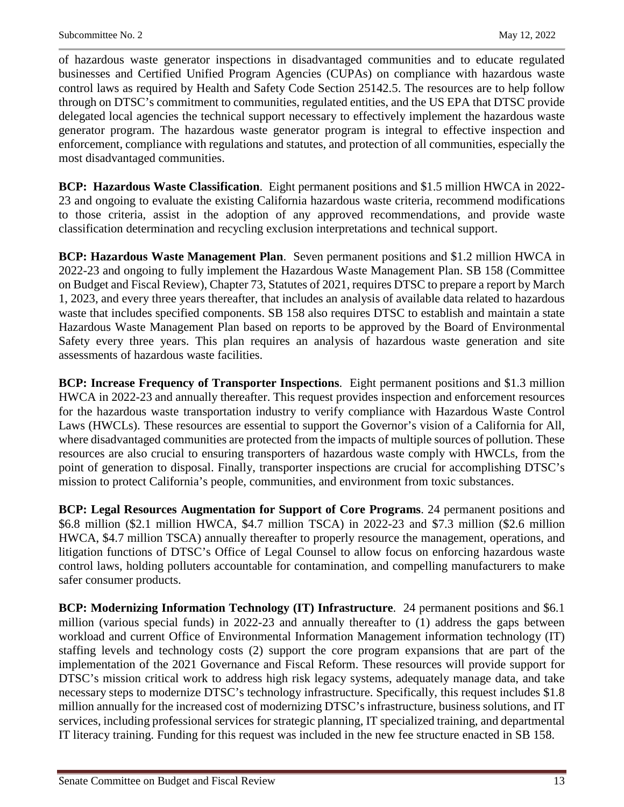of hazardous waste generator inspections in disadvantaged communities and to educate regulated businesses and Certified Unified Program Agencies (CUPAs) on compliance with hazardous waste control laws as required by Health and Safety Code Section 25142.5. The resources are to help follow through on DTSC's commitment to communities, regulated entities, and the US EPA that DTSC provide delegated local agencies the technical support necessary to effectively implement the hazardous waste generator program. The hazardous waste generator program is integral to effective inspection and enforcement, compliance with regulations and statutes, and protection of all communities, especially the most disadvantaged communities.

**BCP: Hazardous Waste Classification**. Eight permanent positions and \$1.5 million HWCA in 2022- 23 and ongoing to evaluate the existing California hazardous waste criteria, recommend modifications to those criteria, assist in the adoption of any approved recommendations, and provide waste classification determination and recycling exclusion interpretations and technical support.

**BCP: Hazardous Waste Management Plan**. Seven permanent positions and \$1.2 million HWCA in 2022-23 and ongoing to fully implement the Hazardous Waste Management Plan. SB 158 (Committee on Budget and Fiscal Review), Chapter 73, Statutes of 2021, requires DTSC to prepare a report by March 1, 2023, and every three years thereafter, that includes an analysis of available data related to hazardous waste that includes specified components. SB 158 also requires DTSC to establish and maintain a state Hazardous Waste Management Plan based on reports to be approved by the Board of Environmental Safety every three years. This plan requires an analysis of hazardous waste generation and site assessments of hazardous waste facilities.

**BCP: Increase Frequency of Transporter Inspections**. Eight permanent positions and \$1.3 million HWCA in 2022-23 and annually thereafter. This request provides inspection and enforcement resources for the hazardous waste transportation industry to verify compliance with Hazardous Waste Control Laws (HWCLs). These resources are essential to support the Governor's vision of a California for All, where disadvantaged communities are protected from the impacts of multiple sources of pollution. These resources are also crucial to ensuring transporters of hazardous waste comply with HWCLs, from the point of generation to disposal. Finally, transporter inspections are crucial for accomplishing DTSC's mission to protect California's people, communities, and environment from toxic substances.

**BCP: Legal Resources Augmentation for Support of Core Programs**. 24 permanent positions and \$6.8 million (\$2.1 million HWCA, \$4.7 million TSCA) in 2022-23 and \$7.3 million (\$2.6 million HWCA, \$4.7 million TSCA) annually thereafter to properly resource the management, operations, and litigation functions of DTSC's Office of Legal Counsel to allow focus on enforcing hazardous waste control laws, holding polluters accountable for contamination, and compelling manufacturers to make safer consumer products.

**BCP: Modernizing Information Technology (IT) Infrastructure**. 24 permanent positions and \$6.1 million (various special funds) in 2022-23 and annually thereafter to (1) address the gaps between workload and current Office of Environmental Information Management information technology (IT) staffing levels and technology costs (2) support the core program expansions that are part of the implementation of the 2021 Governance and Fiscal Reform. These resources will provide support for DTSC's mission critical work to address high risk legacy systems, adequately manage data, and take necessary steps to modernize DTSC's technology infrastructure. Specifically, this request includes \$1.8 million annually for the increased cost of modernizing DTSC's infrastructure, business solutions, and IT services, including professional services for strategic planning, IT specialized training, and departmental IT literacy training. Funding for this request was included in the new fee structure enacted in SB 158.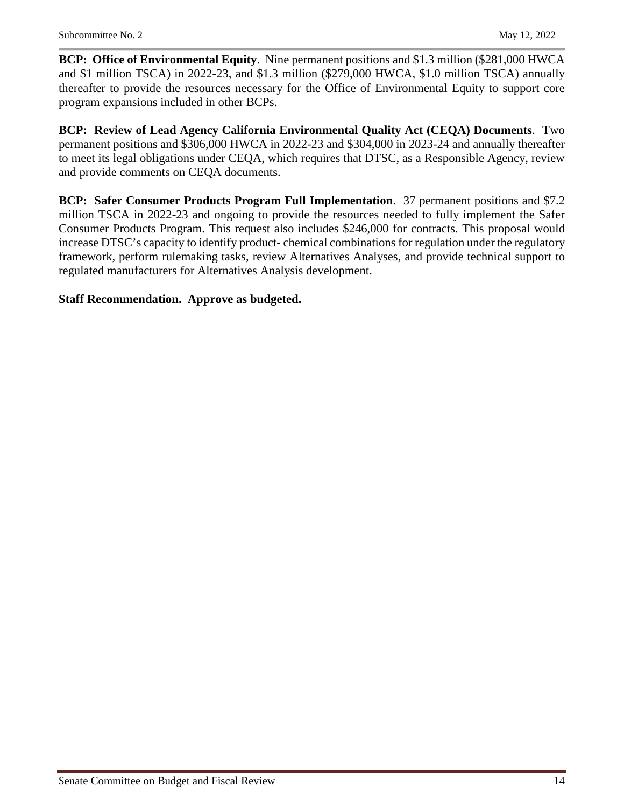**BCP: Office of Environmental Equity**. Nine permanent positions and \$1.3 million (\$281,000 HWCA and \$1 million TSCA) in 2022-23, and \$1.3 million (\$279,000 HWCA, \$1.0 million TSCA) annually thereafter to provide the resources necessary for the Office of Environmental Equity to support core program expansions included in other BCPs.

**BCP: Review of Lead Agency California Environmental Quality Act (CEQA) Documents**. Two permanent positions and \$306,000 HWCA in 2022-23 and \$304,000 in 2023-24 and annually thereafter to meet its legal obligations under CEQA, which requires that DTSC, as a Responsible Agency, review and provide comments on CEQA documents.

**BCP: Safer Consumer Products Program Full Implementation**. 37 permanent positions and \$7.2 million TSCA in 2022-23 and ongoing to provide the resources needed to fully implement the Safer Consumer Products Program. This request also includes \$246,000 for contracts. This proposal would increase DTSC's capacity to identify product- chemical combinations for regulation under the regulatory framework, perform rulemaking tasks, review Alternatives Analyses, and provide technical support to regulated manufacturers for Alternatives Analysis development.

#### **Staff Recommendation. Approve as budgeted.**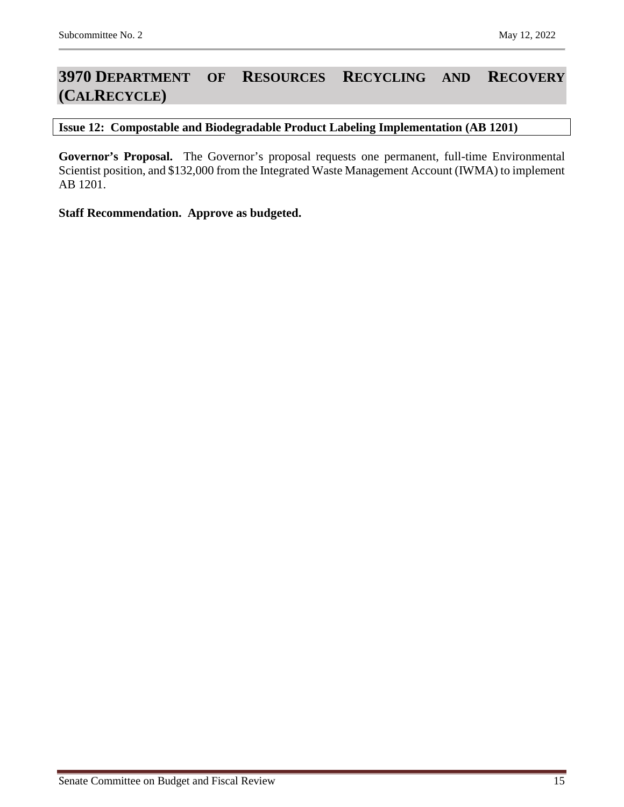## <span id="page-14-0"></span>**3970 DEPARTMENT OF RESOURCES RECYCLING AND RECOVERY (CALRECYCLE)**

#### <span id="page-14-1"></span>**Issue 12: Compostable and Biodegradable Product Labeling Implementation (AB 1201)**

**Governor's Proposal.** The Governor's proposal requests one permanent, full-time Environmental Scientist position, and \$132,000 from the Integrated Waste Management Account (IWMA) to implement AB 1201.

**Staff Recommendation. Approve as budgeted.**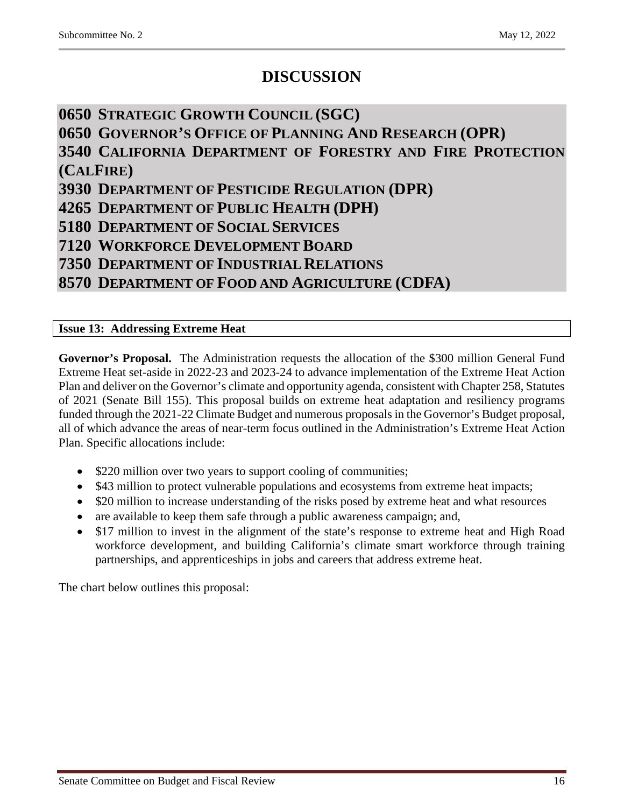## **DISCUSSION**

## <span id="page-15-0"></span>**0650 STRATEGIC GROWTH COUNCIL (SGC)**

<span id="page-15-1"></span>**0650 GOVERNOR'S OFFICE OF PLANNING AND RESEARCH (OPR)**

<span id="page-15-2"></span>**3540 CALIFORNIA DEPARTMENT OF FORESTRY AND FIRE PROTECTION (CALFIRE)**

<span id="page-15-3"></span>**3930 DEPARTMENT OF PESTICIDE REGULATION (DPR)**

<span id="page-15-4"></span>**4265 DEPARTMENT OF PUBLIC HEALTH (DPH)**

<span id="page-15-5"></span>**5180 DEPARTMENT OF SOCIAL SERVICES** 

<span id="page-15-6"></span>**7120 WORKFORCE DEVELOPMENT BOARD**

<span id="page-15-7"></span>**7350 DEPARTMENT OF INDUSTRIAL RELATIONS**

<span id="page-15-8"></span>**8570 DEPARTMENT OF FOOD AND AGRICULTURE (CDFA)**

#### <span id="page-15-9"></span>**Issue 13: Addressing Extreme Heat**

**Governor's Proposal.** The Administration requests the allocation of the \$300 million General Fund Extreme Heat set-aside in 2022-23 and 2023-24 to advance implementation of the Extreme Heat Action Plan and deliver on the Governor's climate and opportunity agenda, consistent with Chapter 258, Statutes of 2021 (Senate Bill 155). This proposal builds on extreme heat adaptation and resiliency programs funded through the 2021-22 Climate Budget and numerous proposals in the Governor's Budget proposal, all of which advance the areas of near-term focus outlined in the Administration's Extreme Heat Action Plan. Specific allocations include:

- \$220 million over two years to support cooling of communities;
- \$43 million to protect vulnerable populations and ecosystems from extreme heat impacts;
- \$20 million to increase understanding of the risks posed by extreme heat and what resources
- are available to keep them safe through a public awareness campaign; and,
- \$17 million to invest in the alignment of the state's response to extreme heat and High Road workforce development, and building California's climate smart workforce through training partnerships, and apprenticeships in jobs and careers that address extreme heat.

The chart below outlines this proposal: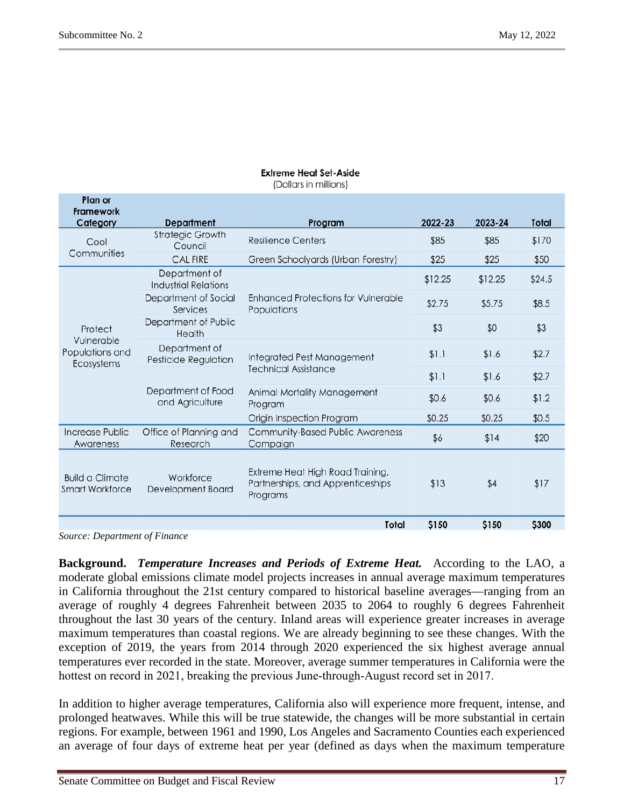Dlaw av

### **Extreme Heat Set-Aside**

(Dollars in millions)

| <b>TIGHT</b> OF<br><b>Framework</b>              | <b>Department</b>                            |                                                                                   | 2022-23 | 2023-24 | Total  |
|--------------------------------------------------|----------------------------------------------|-----------------------------------------------------------------------------------|---------|---------|--------|
| Category                                         |                                              | Program                                                                           |         |         |        |
| Cool<br>Communities                              | <b>Strategic Growth</b><br>Council           | <b>Resilience Centers</b>                                                         | \$85    | \$85    | \$170  |
|                                                  | <b>CAL FIRE</b>                              | Green Schoolyards (Urban Forestry)                                                | \$25    | \$25    | \$50   |
|                                                  | Department of<br><b>Industrial Relations</b> |                                                                                   | \$12.25 | \$12.25 | \$24.5 |
|                                                  | Department of Social<br>Services             | <b>Enhanced Protections for Vulnerable</b><br>Populations                         | \$2.75  | \$5.75  | \$8.5  |
| Protect                                          | Department of Public<br>Health               |                                                                                   | \$3     | \$0     | \$3    |
| Vulnerable<br>Populations and<br>Ecosystems      | Department of<br>Pesticide Regulation        | Integrated Pest Management                                                        | \$1.1   | \$1.6   | \$2.7  |
|                                                  | Department of Food<br>and Agriculture        | <b>Technical Assistance</b>                                                       | \$1.1   | \$1.6   | \$2.7  |
|                                                  |                                              | Animal Mortality Management<br>Program                                            | \$0.6   | \$0.6   | \$1.2  |
|                                                  |                                              | Origin Inspection Program                                                         | \$0.25  | \$0.25  | \$0.5  |
| Increase Public<br>Awareness                     | Office of Planning and<br>Research           | Community-Based Public Awareness<br>Campaign                                      | \$6     | \$14    | \$20   |
| <b>Build a Climate</b><br><b>Smart Workforce</b> | Workforce<br>Development Board               | Extreme Heat High Road Training,<br>Partnerships, and Apprenticeships<br>Programs | \$13    | \$4     | \$17   |
|                                                  |                                              | Total                                                                             | \$150   | \$150   | \$300  |

*Source: Department of Finance*

**Background.** *Temperature Increases and Periods of Extreme Heat.* According to the LAO, a moderate global emissions climate model projects increases in annual average maximum temperatures in California throughout the 21st century compared to historical baseline averages—ranging from an average of roughly 4 degrees Fahrenheit between 2035 to 2064 to roughly 6 degrees Fahrenheit throughout the last 30 years of the century. Inland areas will experience greater increases in average maximum temperatures than coastal regions. We are already beginning to see these changes. With the exception of 2019, the years from 2014 through 2020 experienced the six highest average annual temperatures ever recorded in the state. Moreover, average summer temperatures in California were the hottest on record in 2021, breaking the previous June-through-August record set in 2017.

In addition to higher average temperatures, California also will experience more frequent, intense, and prolonged heatwaves. While this will be true statewide, the changes will be more substantial in certain regions. For example, between 1961 and 1990, Los Angeles and Sacramento Counties each experienced an average of four days of extreme heat per year (defined as days when the maximum temperature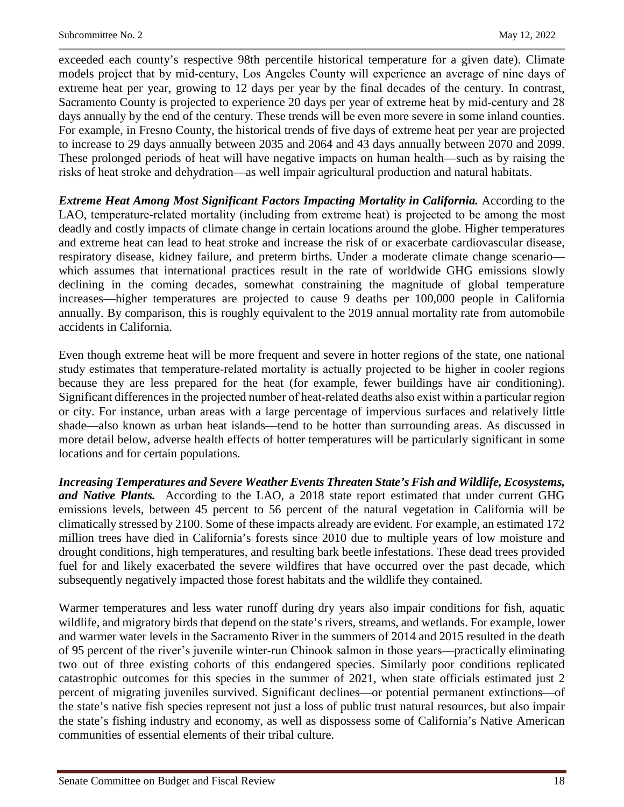exceeded each county's respective 98th percentile historical temperature for a given date). Climate models project that by mid‑century, Los Angeles County will experience an average of nine days of extreme heat per year, growing to 12 days per year by the final decades of the century. In contrast, Sacramento County is projected to experience 20 days per year of extreme heat by mid-century and 28 days annually by the end of the century. These trends will be even more severe in some inland counties. For example, in Fresno County, the historical trends of five days of extreme heat per year are projected to increase to 29 days annually between 2035 and 2064 and 43 days annually between 2070 and 2099. These prolonged periods of heat will have negative impacts on human health—such as by raising the risks of heat stroke and dehydration—as well impair agricultural production and natural habitats.

*Extreme Heat Among Most Significant Factors Impacting Mortality in California.* According to the LAO, temperature–related mortality (including from extreme heat) is projected to be among the most deadly and costly impacts of climate change in certain locations around the globe. Higher temperatures and extreme heat can lead to heat stroke and increase the risk of or exacerbate cardiovascular disease, respiratory disease, kidney failure, and preterm births. Under a moderate climate change scenario which assumes that international practices result in the rate of worldwide GHG emissions slowly declining in the coming decades, somewhat constraining the magnitude of global temperature increases—higher temperatures are projected to cause 9 deaths per 100,000 people in California annually. By comparison, this is roughly equivalent to the 2019 annual mortality rate from automobile accidents in California.

Even though extreme heat will be more frequent and severe in hotter regions of the state, one national study estimates that temperature‑related mortality is actually projected to be higher in cooler regions because they are less prepared for the heat (for example, fewer buildings have air conditioning). Significant differences in the projected number of heat-related deaths also exist within a particular region or city. For instance, urban areas with a large percentage of impervious surfaces and relatively little shade—also known as urban heat islands—tend to be hotter than surrounding areas. As discussed in more detail below, adverse health effects of hotter temperatures will be particularly significant in some locations and for certain populations.

*Increasing Temperatures and Severe Weather Events Threaten State's Fish and Wildlife, Ecosystems, and Native Plants.* According to the LAO, a 2018 state report estimated that under current GHG emissions levels, between 45 percent to 56 percent of the natural vegetation in California will be climatically stressed by 2100. Some of these impacts already are evident. For example, an estimated 172 million trees have died in California's forests since 2010 due to multiple years of low moisture and drought conditions, high temperatures, and resulting bark beetle infestations. These dead trees provided fuel for and likely exacerbated the severe wildfires that have occurred over the past decade, which subsequently negatively impacted those forest habitats and the wildlife they contained.

Warmer temperatures and less water runoff during dry years also impair conditions for fish, aquatic wildlife, and migratory birds that depend on the state's rivers, streams, and wetlands. For example, lower and warmer water levels in the Sacramento River in the summers of 2014 and 2015 resulted in the death of 95 percent of the river's juvenile winter‑run Chinook salmon in those years—practically eliminating two out of three existing cohorts of this endangered species. Similarly poor conditions replicated catastrophic outcomes for this species in the summer of 2021, when state officials estimated just 2 percent of migrating juveniles survived. Significant declines—or potential permanent extinctions—of the state's native fish species represent not just a loss of public trust natural resources, but also impair the state's fishing industry and economy, as well as dispossess some of California's Native American communities of essential elements of their tribal culture.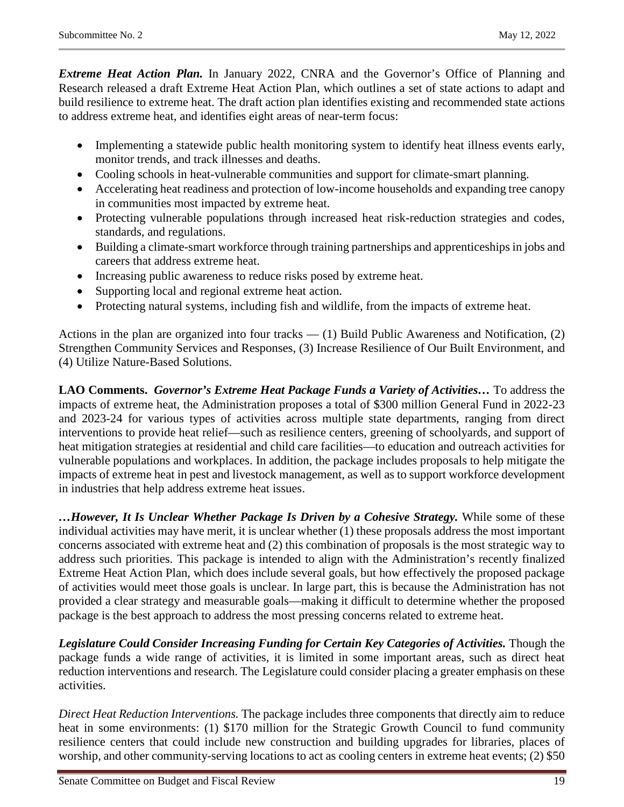*Extreme Heat Action Plan.* In January 2022, CNRA and the Governor's Office of Planning and Research released a draft Extreme Heat Action Plan, which outlines a set of state actions to adapt and build resilience to extreme heat. The draft action plan identifies existing and recommended state actions to address extreme heat, and identifies eight areas of near-term focus:

- Implementing a statewide public health monitoring system to identify heat illness events early, monitor trends, and track illnesses and deaths.
- Cooling schools in heat-vulnerable communities and support for climate-smart planning.
- Accelerating heat readiness and protection of low-income households and expanding tree canopy in communities most impacted by extreme heat.
- Protecting vulnerable populations through increased heat risk-reduction strategies and codes, standards, and regulations.
- Building a climate-smart workforce through training partnerships and apprenticeships in jobs and careers that address extreme heat.
- Increasing public awareness to reduce risks posed by extreme heat.
- Supporting local and regional extreme heat action.
- Protecting natural systems, including fish and wildlife, from the impacts of extreme heat.

Actions in the plan are organized into four tracks  $-$  (1) Build Public Awareness and Notification, (2) Strengthen Community Services and Responses, (3) Increase Resilience of Our Built Environment, and (4) Utilize Nature-Based Solutions.

**LAO Comments.** *Governor's Extreme Heat Package Funds a Variety of Activities…* To address the impacts of extreme heat, the Administration proposes a total of \$300 million General Fund in 2022-23 and 2023-24 for various types of activities across multiple state departments, ranging from direct interventions to provide heat relief—such as resilience centers, greening of schoolyards, and support of heat mitigation strategies at residential and child care facilities—to education and outreach activities for vulnerable populations and workplaces. In addition, the package includes proposals to help mitigate the impacts of extreme heat in pest and livestock management, as well as to support workforce development in industries that help address extreme heat issues.

*…However, It Is Unclear Whether Package Is Driven by a Cohesive Strategy.* While some of these individual activities may have merit, it is unclear whether (1) these proposals address the most important concerns associated with extreme heat and (2) this combination of proposals is the most strategic way to address such priorities. This package is intended to align with the Administration's recently finalized Extreme Heat Action Plan, which does include several goals, but how effectively the proposed package of activities would meet those goals is unclear. In large part, this is because the Administration has not provided a clear strategy and measurable goals—making it difficult to determine whether the proposed package is the best approach to address the most pressing concerns related to extreme heat.

*Legislature Could Consider Increasing Funding for Certain Key Categories of Activities.* Though the package funds a wide range of activities, it is limited in some important areas, such as direct heat reduction interventions and research. The Legislature could consider placing a greater emphasis on these activities.

*Direct Heat Reduction Interventions.* The package includes three components that directly aim to reduce heat in some environments: (1) \$170 million for the Strategic Growth Council to fund community resilience centers that could include new construction and building upgrades for libraries, places of worship, and other community-serving locations to act as cooling centers in extreme heat events; (2) \$50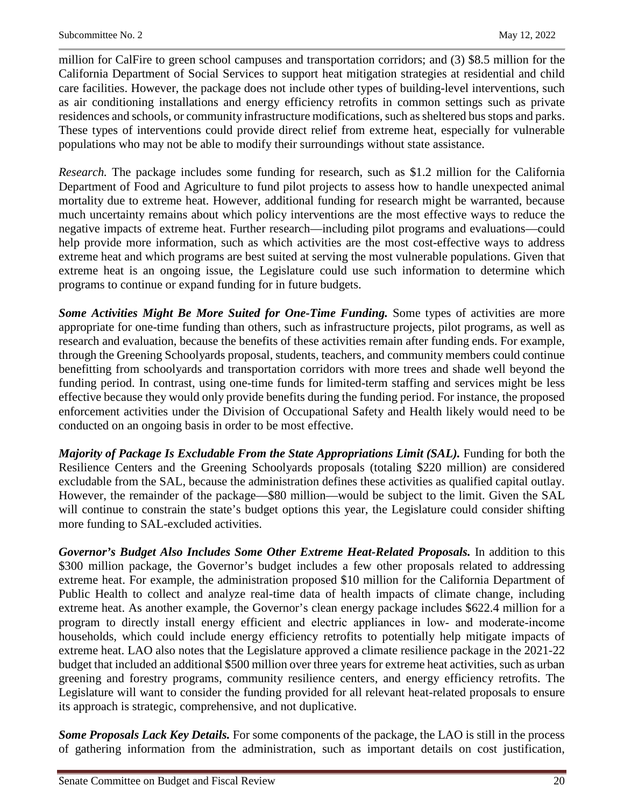million for CalFire to green school campuses and transportation corridors; and (3) \$8.5 million for the California Department of Social Services to support heat mitigation strategies at residential and child care facilities. However, the package does not include other types of building-level interventions, such as air conditioning installations and energy efficiency retrofits in common settings such as private residences and schools, or community infrastructure modifications, such as sheltered bus stops and parks. These types of interventions could provide direct relief from extreme heat, especially for vulnerable populations who may not be able to modify their surroundings without state assistance.

*Research.* The package includes some funding for research, such as \$1.2 million for the California Department of Food and Agriculture to fund pilot projects to assess how to handle unexpected animal mortality due to extreme heat. However, additional funding for research might be warranted, because much uncertainty remains about which policy interventions are the most effective ways to reduce the negative impacts of extreme heat. Further research—including pilot programs and evaluations—could help provide more information, such as which activities are the most cost-effective ways to address extreme heat and which programs are best suited at serving the most vulnerable populations. Given that extreme heat is an ongoing issue, the Legislature could use such information to determine which programs to continue or expand funding for in future budgets.

**Some Activities Might Be More Suited for One-Time Funding.** Some types of activities are more appropriate for one-time funding than others, such as infrastructure projects, pilot programs, as well as research and evaluation, because the benefits of these activities remain after funding ends. For example, through the Greening Schoolyards proposal, students, teachers, and community members could continue benefitting from schoolyards and transportation corridors with more trees and shade well beyond the funding period. In contrast, using one-time funds for limited-term staffing and services might be less effective because they would only provide benefits during the funding period. For instance, the proposed enforcement activities under the Division of Occupational Safety and Health likely would need to be conducted on an ongoing basis in order to be most effective.

*Majority of Package Is Excludable From the State Appropriations Limit (SAL).* Funding for both the Resilience Centers and the Greening Schoolyards proposals (totaling \$220 million) are considered excludable from the SAL, because the administration defines these activities as qualified capital outlay. However, the remainder of the package—\$80 million—would be subject to the limit. Given the SAL will continue to constrain the state's budget options this year, the Legislature could consider shifting more funding to SAL-excluded activities.

*Governor's Budget Also Includes Some Other Extreme Heat-Related Proposals.* In addition to this \$300 million package, the Governor's budget includes a few other proposals related to addressing extreme heat. For example, the administration proposed \$10 million for the California Department of Public Health to collect and analyze real-time data of health impacts of climate change, including extreme heat. As another example, the Governor's clean energy package includes \$622.4 million for a program to directly install energy efficient and electric appliances in low‑ and moderate‑income households, which could include energy efficiency retrofits to potentially help mitigate impacts of extreme heat. LAO also notes that the Legislature approved a climate resilience package in the 2021-22 budget that included an additional \$500 million over three years for extreme heat activities, such as urban greening and forestry programs, community resilience centers, and energy efficiency retrofits. The Legislature will want to consider the funding provided for all relevant heat-related proposals to ensure its approach is strategic, comprehensive, and not duplicative.

*Some Proposals Lack Key Details.* For some components of the package, the LAO is still in the process of gathering information from the administration, such as important details on cost justification,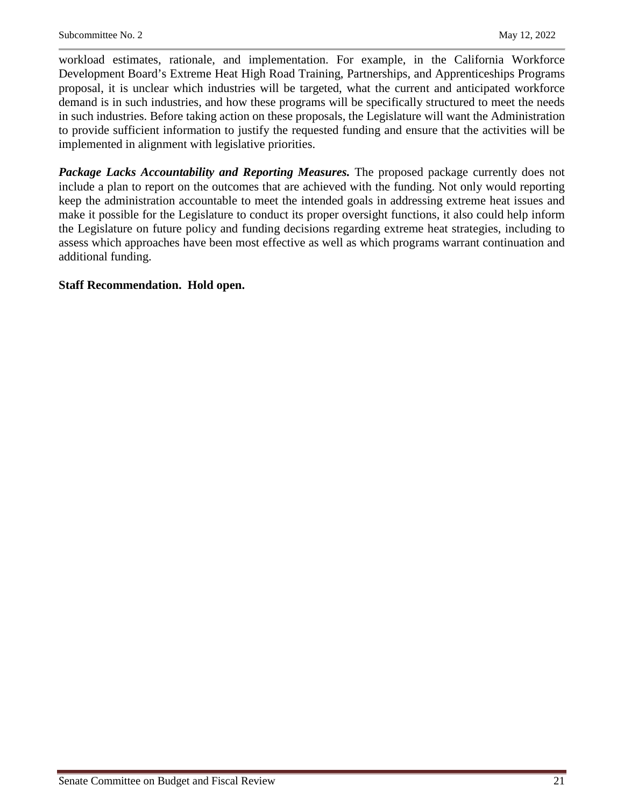workload estimates, rationale, and implementation. For example, in the California Workforce Development Board's Extreme Heat High Road Training, Partnerships, and Apprenticeships Programs proposal, it is unclear which industries will be targeted, what the current and anticipated workforce demand is in such industries, and how these programs will be specifically structured to meet the needs in such industries. Before taking action on these proposals, the Legislature will want the Administration to provide sufficient information to justify the requested funding and ensure that the activities will be implemented in alignment with legislative priorities.

*Package Lacks Accountability and Reporting Measures.* The proposed package currently does not include a plan to report on the outcomes that are achieved with the funding. Not only would reporting keep the administration accountable to meet the intended goals in addressing extreme heat issues and make it possible for the Legislature to conduct its proper oversight functions, it also could help inform the Legislature on future policy and funding decisions regarding extreme heat strategies, including to assess which approaches have been most effective as well as which programs warrant continuation and additional funding.

#### **Staff Recommendation. Hold open.**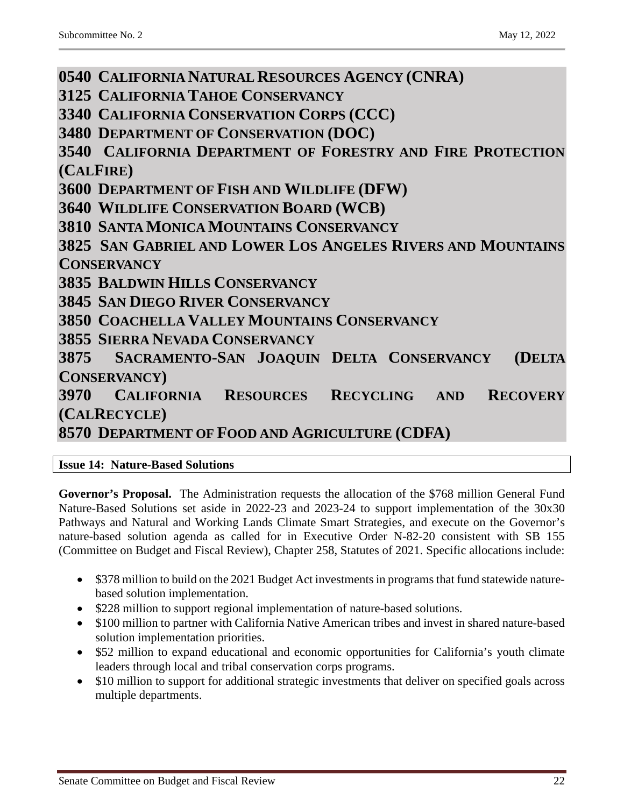<span id="page-21-8"></span><span id="page-21-7"></span><span id="page-21-6"></span><span id="page-21-5"></span><span id="page-21-4"></span><span id="page-21-3"></span><span id="page-21-2"></span><span id="page-21-1"></span><span id="page-21-0"></span>**0540 CALIFORNIA NATURAL RESOURCES AGENCY (CNRA) 3125 CALIFORNIA TAHOE CONSERVANCY 3340 CALIFORNIA CONSERVATION CORPS (CCC) 3480 DEPARTMENT OF CONSERVATION (DOC) 3540 CALIFORNIA DEPARTMENT OF FORESTRY AND FIRE PROTECTION (CALFIRE) 3600 DEPARTMENT OF FISH AND WILDLIFE (DFW) 3640 WILDLIFE CONSERVATION BOARD (WCB) 3810 SANTA MONICA MOUNTAINS CONSERVANCY 3825 SAN GABRIEL AND LOWER LOS ANGELES RIVERS AND MOUNTAINS CONSERVANCY 3835 BALDWIN HILLS CONSERVANCY 3845 SAN DIEGO RIVER CONSERVANCY 3850 COACHELLA VALLEY MOUNTAINS CONSERVANCY 3855 SIERRA NEVADA CONSERVANCY 3875 SACRAMENTO-SAN JOAQUIN DELTA CONSERVANCY (DELTA CONSERVANCY) 3970 CALIFORNIA RESOURCES RECYCLING AND RECOVERY (CALRECYCLE) 8570 DEPARTMENT OF FOOD AND AGRICULTURE (CDFA)**

#### <span id="page-21-16"></span><span id="page-21-15"></span><span id="page-21-14"></span><span id="page-21-13"></span><span id="page-21-12"></span><span id="page-21-11"></span><span id="page-21-10"></span><span id="page-21-9"></span>**Issue 14: Nature-Based Solutions**

**Governor's Proposal.** The Administration requests the allocation of the \$768 million General Fund Nature-Based Solutions set aside in 2022-23 and 2023-24 to support implementation of the 30x30 Pathways and Natural and Working Lands Climate Smart Strategies, and execute on the Governor's nature-based solution agenda as called for in Executive Order N-82-20 consistent with SB 155 (Committee on Budget and Fiscal Review), Chapter 258, Statutes of 2021. Specific allocations include:

- \$378 million to build on the 2021 Budget Act investments in programs that fund statewide naturebased solution implementation.
- \$228 million to support regional implementation of nature-based solutions.
- \$100 million to partner with California Native American tribes and invest in shared nature-based solution implementation priorities.
- \$52 million to expand educational and economic opportunities for California's youth climate leaders through local and tribal conservation corps programs.
- \$10 million to support for additional strategic investments that deliver on specified goals across multiple departments.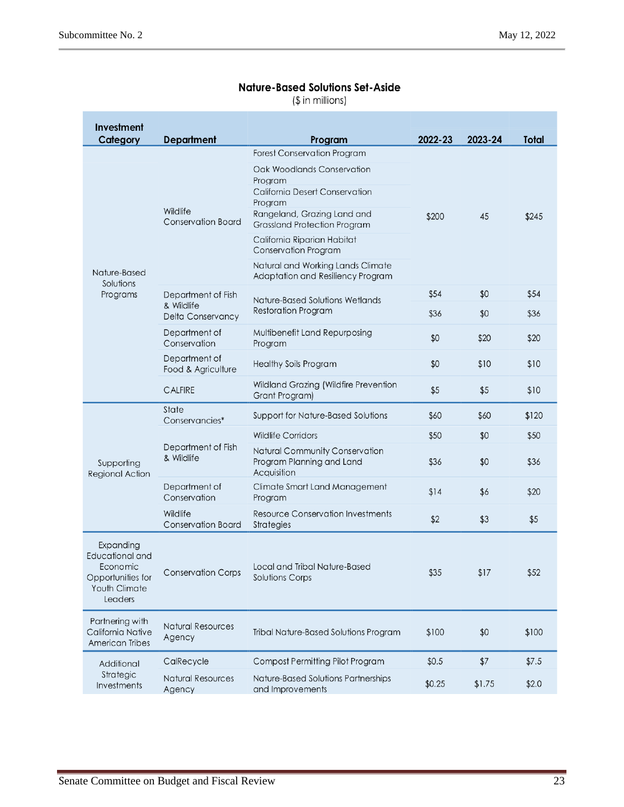#### **Nature-Based Solutions Set-Aside**

 $($$  in millions)

| Investment<br>Category                                                                    | <b>Department</b>                     | Program                                                                            | 2022-23 | 2023-24 | Total |
|-------------------------------------------------------------------------------------------|---------------------------------------|------------------------------------------------------------------------------------|---------|---------|-------|
|                                                                                           |                                       | <b>Forest Conservation Program</b>                                                 |         | 45      |       |
|                                                                                           |                                       | Oak Woodlands Conservation<br>Program<br>California Desert Conservation<br>Program |         |         |       |
|                                                                                           | Wildlife<br><b>Conservation Board</b> | Rangeland, Grazing Land and<br><b>Grassland Protection Program</b>                 | \$200   |         | \$245 |
|                                                                                           |                                       | California Riparian Habitat<br><b>Conservation Program</b>                         |         |         |       |
| Nature-Based<br>Solutions                                                                 |                                       | Natural and Working Lands Climate<br>Adaptation and Resiliency Program             |         |         |       |
| Programs                                                                                  | Department of Fish                    | Nature-Based Solutions Wetlands                                                    | \$54    | \$0     | \$54  |
|                                                                                           | & Wildlife<br>Delta Conservancy       | <b>Restoration Program</b>                                                         | \$36    | \$0     | \$36  |
|                                                                                           | Department of<br>Conservation         | Multibenefit Land Repurposing<br>Program                                           | \$0     | \$20    | \$20  |
|                                                                                           | Department of<br>Food & Agriculture   | <b>Healthy Soils Program</b>                                                       | \$0     | \$10    | \$10  |
|                                                                                           | <b>CALFIRE</b>                        | Wildland Grazing (Wildfire Prevention<br>Grant Program)                            | \$5     | \$5     | \$10  |
|                                                                                           | State<br>Conservancies*               | Support for Nature-Based Solutions                                                 | \$60    | \$60    | \$120 |
|                                                                                           |                                       | <b>Wildlife Corridors</b>                                                          | \$50    | \$0     | \$50  |
| Supporting<br>Regional Action                                                             | Department of Fish<br>& Wildlife      | Natural Community Conservation<br>Program Planning and Land<br>Acquisition         | \$36    | \$0     | \$36  |
|                                                                                           | Department of<br>Conservation         | Climate Smart Land Management<br>Program                                           | \$14    | \$6     | \$20  |
|                                                                                           | Wildlife<br><b>Conservation Board</b> | <b>Resource Conservation Investments</b><br><b>Strategies</b>                      | \$2     | \$3     | \$5   |
| Expanding<br>Educational and<br>Economic<br>Opportunities for<br>Youth Climate<br>Leaders | <b>Conservation Corps</b>             | Local and Tribal Nature-Based<br>Solutions Corps                                   | \$35    | \$17    | \$52  |
| Partnering with<br>California Native<br>American Tribes                                   | <b>Natural Resources</b><br>Agency    | Tribal Nature-Based Solutions Program                                              | \$100   | \$0     | \$100 |
| Additional                                                                                | CalRecycle                            | Compost Permitting Pilot Program                                                   | \$0.5   | \$7     | \$7.5 |
| Strategic<br>Investments                                                                  | <b>Natural Resources</b><br>Agency    | Nature-Based Solutions Partnerships<br>and Improvements                            | \$0.25  | \$1.75  | \$2.0 |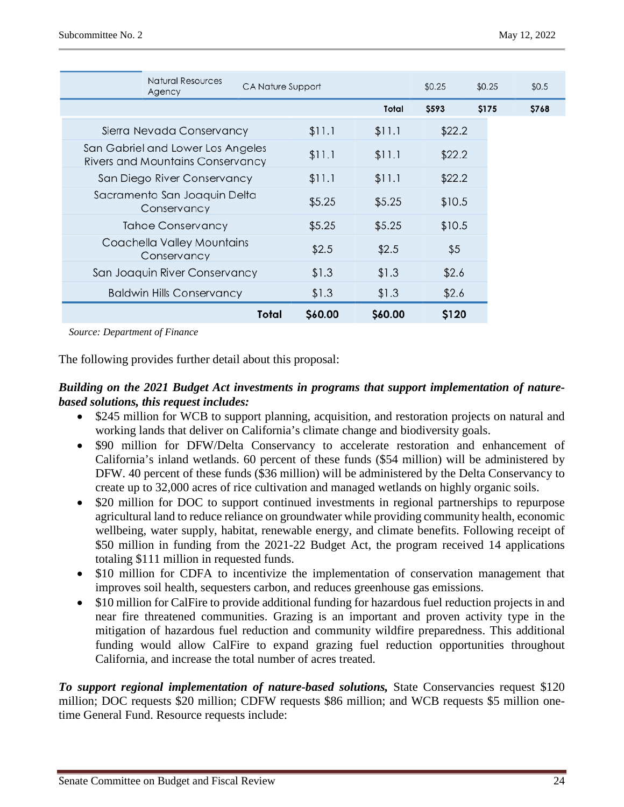| <b>Natural Resources</b><br>Agency                                           | CA Nature Support |         |         | \$0.25 | \$0.25 | \$0.5 |
|------------------------------------------------------------------------------|-------------------|---------|---------|--------|--------|-------|
|                                                                              |                   |         | Total   | \$593  | \$175  | \$768 |
| Sierra Nevada Conservancy                                                    |                   | \$11.1  | \$11.1  | \$22.2 |        |       |
| San Gabriel and Lower Los Angeles<br><b>Rivers and Mountains Conservancy</b> |                   | \$11.1  | \$11.1  | \$22.2 |        |       |
| San Diego River Conservancy                                                  |                   | \$11.1  | \$11.1  | \$22.2 |        |       |
| Sacramento San Joaquin Delta<br>Conservancy                                  |                   | \$5.25  | \$5.25  | \$10.5 |        |       |
| <b>Tahoe Conservancy</b>                                                     |                   | \$5.25  | \$5.25  | \$10.5 |        |       |
| Coachella Valley Mountains<br>Conservancy                                    |                   | \$2.5   | \$2.5   | \$5    |        |       |
| San Joaquin River Conservancy                                                |                   | \$1.3   | \$1.3   | \$2.6  |        |       |
| <b>Baldwin Hills Conservancy</b>                                             |                   | \$1.3   | \$1.3   | \$2.6  |        |       |
|                                                                              | Total             | \$60.00 | \$60.00 | \$120  |        |       |

 *Source: Department of Finance*

The following provides further detail about this proposal:

#### *Building on the 2021 Budget Act investments in programs that support implementation of naturebased solutions, this request includes:*

- \$245 million for WCB to support planning, acquisition, and restoration projects on natural and working lands that deliver on California's climate change and biodiversity goals.
- \$90 million for DFW/Delta Conservancy to accelerate restoration and enhancement of California's inland wetlands. 60 percent of these funds (\$54 million) will be administered by DFW. 40 percent of these funds (\$36 million) will be administered by the Delta Conservancy to create up to 32,000 acres of rice cultivation and managed wetlands on highly organic soils.
- \$20 million for DOC to support continued investments in regional partnerships to repurpose agricultural land to reduce reliance on groundwater while providing community health, economic wellbeing, water supply, habitat, renewable energy, and climate benefits. Following receipt of \$50 million in funding from the 2021-22 Budget Act, the program received 14 applications totaling \$111 million in requested funds.
- \$10 million for CDFA to incentivize the implementation of conservation management that improves soil health, sequesters carbon, and reduces greenhouse gas emissions.
- \$10 million for CalFire to provide additional funding for hazardous fuel reduction projects in and near fire threatened communities. Grazing is an important and proven activity type in the mitigation of hazardous fuel reduction and community wildfire preparedness. This additional funding would allow CalFire to expand grazing fuel reduction opportunities throughout California, and increase the total number of acres treated.

*To support regional implementation of nature-based solutions,* State Conservancies request \$120 million; DOC requests \$20 million; CDFW requests \$86 million; and WCB requests \$5 million onetime General Fund. Resource requests include: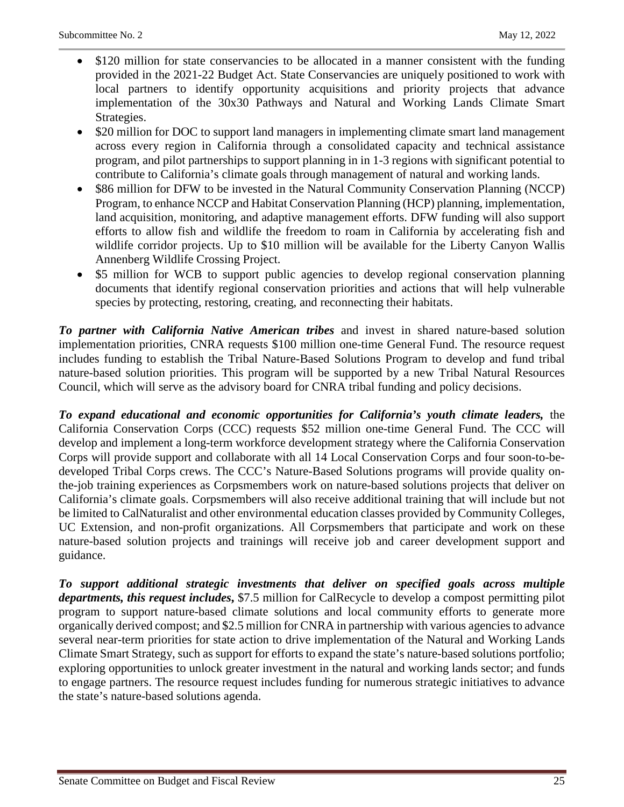- \$120 million for state conservancies to be allocated in a manner consistent with the funding provided in the 2021-22 Budget Act. State Conservancies are uniquely positioned to work with local partners to identify opportunity acquisitions and priority projects that advance implementation of the 30x30 Pathways and Natural and Working Lands Climate Smart Strategies.
- \$20 million for DOC to support land managers in implementing climate smart land management across every region in California through a consolidated capacity and technical assistance program, and pilot partnerships to support planning in in 1-3 regions with significant potential to contribute to California's climate goals through management of natural and working lands.
- \$86 million for DFW to be invested in the Natural Community Conservation Planning (NCCP) Program, to enhance NCCP and Habitat Conservation Planning (HCP) planning, implementation, land acquisition, monitoring, and adaptive management efforts. DFW funding will also support efforts to allow fish and wildlife the freedom to roam in California by accelerating fish and wildlife corridor projects. Up to \$10 million will be available for the Liberty Canyon Wallis Annenberg Wildlife Crossing Project.
- \$5 million for WCB to support public agencies to develop regional conservation planning documents that identify regional conservation priorities and actions that will help vulnerable species by protecting, restoring, creating, and reconnecting their habitats.

*To partner with California Native American tribes* and invest in shared nature-based solution implementation priorities, CNRA requests \$100 million one-time General Fund. The resource request includes funding to establish the Tribal Nature-Based Solutions Program to develop and fund tribal nature-based solution priorities. This program will be supported by a new Tribal Natural Resources Council, which will serve as the advisory board for CNRA tribal funding and policy decisions.

*To expand educational and economic opportunities for California's youth climate leaders,* the California Conservation Corps (CCC) requests \$52 million one-time General Fund. The CCC will develop and implement a long-term workforce development strategy where the California Conservation Corps will provide support and collaborate with all 14 Local Conservation Corps and four soon-to-bedeveloped Tribal Corps crews. The CCC's Nature-Based Solutions programs will provide quality onthe-job training experiences as Corpsmembers work on nature-based solutions projects that deliver on California's climate goals. Corpsmembers will also receive additional training that will include but not be limited to CalNaturalist and other environmental education classes provided by Community Colleges, UC Extension, and non-profit organizations. All Corpsmembers that participate and work on these nature-based solution projects and trainings will receive job and career development support and guidance.

*To support additional strategic investments that deliver on specified goals across multiple departments, this request includes***,** \$7.5 million for CalRecycle to develop a compost permitting pilot program to support nature-based climate solutions and local community efforts to generate more organically derived compost; and \$2.5 million for CNRA in partnership with various agencies to advance several near-term priorities for state action to drive implementation of the Natural and Working Lands Climate Smart Strategy, such as support for efforts to expand the state's nature-based solutions portfolio; exploring opportunities to unlock greater investment in the natural and working lands sector; and funds to engage partners. The resource request includes funding for numerous strategic initiatives to advance the state's nature-based solutions agenda.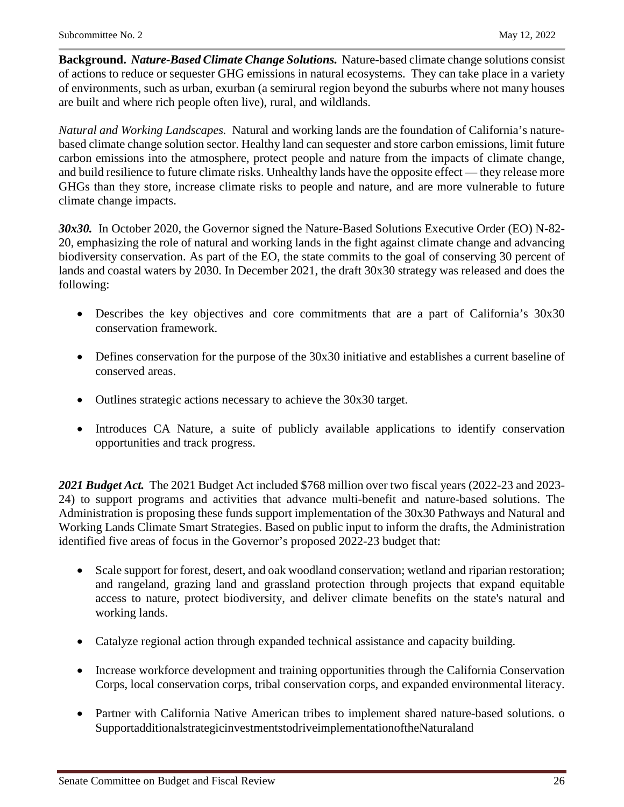**Background.** *Nature-Based Climate Change Solutions.* Nature-based climate change solutions consist of actions to reduce or sequester GHG emissions in natural ecosystems. They can take place in a variety of environments, such as urban, exurban (a semirural region beyond the suburbs where not many houses are built and where rich people often live), rural, and wildlands.

*Natural and Working Landscapes.* Natural and working lands are the foundation of California's naturebased climate change solution sector. Healthy land can sequester and store carbon emissions, limit future carbon emissions into the atmosphere, protect people and nature from the impacts of climate change, and build resilience to future climate risks. Unhealthy lands have the opposite effect — they release more GHGs than they store, increase climate risks to people and nature, and are more vulnerable to future climate change impacts.

*30x30.* In October 2020, the Governor signed the Nature-Based Solutions Executive Order (EO) N-82- 20, emphasizing the role of natural and working lands in the fight against climate change and advancing biodiversity conservation. As part of the EO, the state commits to the goal of conserving 30 percent of lands and coastal waters by 2030. In December 2021, the draft 30x30 strategy was released and does the following:

- Describes the key objectives and core commitments that are a part of California's 30x30 conservation framework.
- Defines conservation for the purpose of the 30x30 initiative and establishes a current baseline of conserved areas.
- Outlines strategic actions necessary to achieve the 30x30 target.
- Introduces CA Nature, a suite of publicly available applications to identify conservation opportunities and track progress.

*2021 Budget Act.* The 2021 Budget Act included \$768 million over two fiscal years (2022-23 and 2023- 24) to support programs and activities that advance multi-benefit and nature-based solutions. The Administration is proposing these funds support implementation of the 30x30 Pathways and Natural and Working Lands Climate Smart Strategies. Based on public input to inform the drafts, the Administration identified five areas of focus in the Governor's proposed 2022-23 budget that:

- Scale support for forest, desert, and oak woodland conservation; wetland and riparian restoration; and rangeland, grazing land and grassland protection through projects that expand equitable access to nature, protect biodiversity, and deliver climate benefits on the state's natural and working lands.
- Catalyze regional action through expanded technical assistance and capacity building.
- Increase workforce development and training opportunities through the California Conservation Corps, local conservation corps, tribal conservation corps, and expanded environmental literacy.
- Partner with California Native American tribes to implement shared nature-based solutions. o SupportadditionalstrategicinvestmentstodriveimplementationoftheNaturaland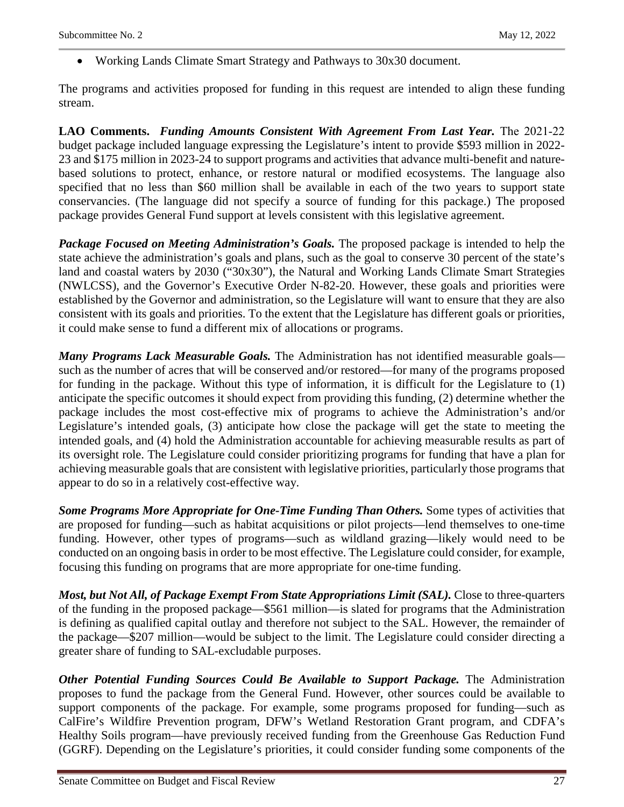• Working Lands Climate Smart Strategy and Pathways to 30x30 document.

The programs and activities proposed for funding in this request are intended to align these funding stream.

**LAO Comments.** *Funding Amounts Consistent With Agreement From Last Year.* The 2021‑22 budget package included language expressing the Legislature's intent to provide \$593 million in 2022- 23 and \$175 million in 2023-24 to support programs and activities that advance multi-benefit and naturebased solutions to protect, enhance, or restore natural or modified ecosystems. The language also specified that no less than \$60 million shall be available in each of the two years to support state conservancies. (The language did not specify a source of funding for this package.) The proposed package provides General Fund support at levels consistent with this legislative agreement.

*Package Focused on Meeting Administration's Goals.* The proposed package is intended to help the state achieve the administration's goals and plans, such as the goal to conserve 30 percent of the state's land and coastal waters by 2030 ("30x30"), the Natural and Working Lands Climate Smart Strategies (NWLCSS), and the Governor's Executive Order N-82-20. However, these goals and priorities were established by the Governor and administration, so the Legislature will want to ensure that they are also consistent with its goals and priorities. To the extent that the Legislature has different goals or priorities, it could make sense to fund a different mix of allocations or programs.

*Many Programs Lack Measurable Goals.* The Administration has not identified measurable goals such as the number of acres that will be conserved and/or restored—for many of the programs proposed for funding in the package. Without this type of information, it is difficult for the Legislature to (1) anticipate the specific outcomes it should expect from providing this funding, (2) determine whether the package includes the most cost-effective mix of programs to achieve the Administration's and/or Legislature's intended goals, (3) anticipate how close the package will get the state to meeting the intended goals, and (4) hold the Administration accountable for achieving measurable results as part of its oversight role. The Legislature could consider prioritizing programs for funding that have a plan for achieving measurable goals that are consistent with legislative priorities, particularly those programs that appear to do so in a relatively cost-effective way.

*Some Programs More Appropriate for One-Time Funding Than Others.* Some types of activities that are proposed for funding—such as habitat acquisitions or pilot projects—lend themselves to one-time funding. However, other types of programs—such as wildland grazing—likely would need to be conducted on an ongoing basis in order to be most effective. The Legislature could consider, for example, focusing this funding on programs that are more appropriate for one-time funding.

*Most, but Not All, of Package Exempt From State Appropriations Limit (SAL).* Close to three-quarters of the funding in the proposed package—\$561 million—is slated for programs that the Administration is defining as qualified capital outlay and therefore not subject to the SAL. However, the remainder of the package—\$207 million—would be subject to the limit. The Legislature could consider directing a greater share of funding to SAL-excludable purposes.

*Other Potential Funding Sources Could Be Available to Support Package.* The Administration proposes to fund the package from the General Fund. However, other sources could be available to support components of the package. For example, some programs proposed for funding—such as CalFire's Wildfire Prevention program, DFW's Wetland Restoration Grant program, and CDFA's Healthy Soils program—have previously received funding from the Greenhouse Gas Reduction Fund (GGRF). Depending on the Legislature's priorities, it could consider funding some components of the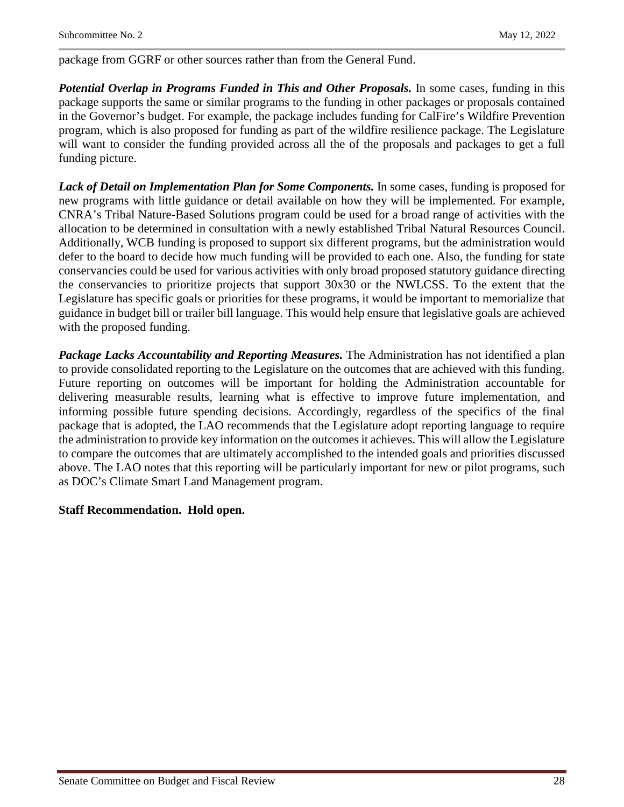package from GGRF or other sources rather than from the General Fund.

*Potential Overlap in Programs Funded in This and Other Proposals.* In some cases, funding in this package supports the same or similar programs to the funding in other packages or proposals contained in the Governor's budget. For example, the package includes funding for CalFire's Wildfire Prevention program, which is also proposed for funding as part of the wildfire resilience package. The Legislature will want to consider the funding provided across all the of the proposals and packages to get a full funding picture.

*Lack of Detail on Implementation Plan for Some Components.* In some cases, funding is proposed for new programs with little guidance or detail available on how they will be implemented. For example, CNRA's Tribal Nature-Based Solutions program could be used for a broad range of activities with the allocation to be determined in consultation with a newly established Tribal Natural Resources Council. Additionally, WCB funding is proposed to support six different programs, but the administration would defer to the board to decide how much funding will be provided to each one. Also, the funding for state conservancies could be used for various activities with only broad proposed statutory guidance directing the conservancies to prioritize projects that support 30x30 or the NWLCSS. To the extent that the Legislature has specific goals or priorities for these programs, it would be important to memorialize that guidance in budget bill or trailer bill language. This would help ensure that legislative goals are achieved with the proposed funding.

*Package Lacks Accountability and Reporting Measures.* The Administration has not identified a plan to provide consolidated reporting to the Legislature on the outcomes that are achieved with this funding. Future reporting on outcomes will be important for holding the Administration accountable for delivering measurable results, learning what is effective to improve future implementation, and informing possible future spending decisions. Accordingly, regardless of the specifics of the final package that is adopted, the LAO recommends that the Legislature adopt reporting language to require the administration to provide key information on the outcomes it achieves. This will allow the Legislature to compare the outcomes that are ultimately accomplished to the intended goals and priorities discussed above. The LAO notes that this reporting will be particularly important for new or pilot programs, such as DOC's Climate Smart Land Management program.

#### **Staff Recommendation. Hold open.**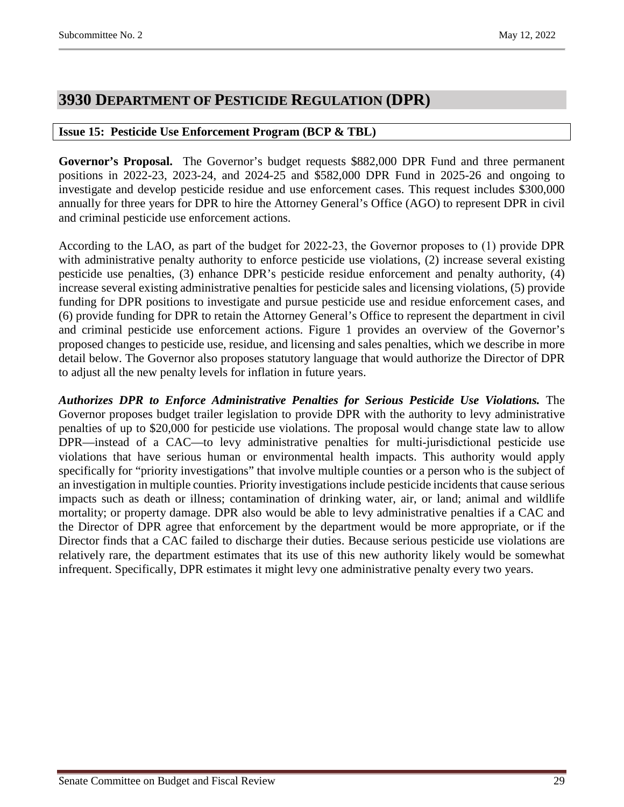### <span id="page-28-0"></span>**3930 DEPARTMENT OF PESTICIDE REGULATION (DPR)**

#### <span id="page-28-1"></span>**Issue 15: Pesticide Use Enforcement Program (BCP & TBL)**

**Governor's Proposal.** The Governor's budget requests \$882,000 DPR Fund and three permanent positions in 2022-23, 2023-24, and 2024-25 and \$582,000 DPR Fund in 2025-26 and ongoing to investigate and develop pesticide residue and use enforcement cases. This request includes \$300,000 annually for three years for DPR to hire the Attorney General's Office (AGO) to represent DPR in civil and criminal pesticide use enforcement actions.

According to the LAO, as part of the budget for 2022‑23, the Governor proposes to (1) provide DPR with administrative penalty authority to enforce pesticide use violations, (2) increase several existing pesticide use penalties, (3) enhance DPR's pesticide residue enforcement and penalty authority, (4) increase several existing administrative penalties for pesticide sales and licensing violations, (5) provide funding for DPR positions to investigate and pursue pesticide use and residue enforcement cases, and (6) provide funding for DPR to retain the Attorney General's Office to represent the department in civil and criminal pesticide use enforcement actions. Figure 1 provides an overview of the Governor's proposed changes to pesticide use, residue, and licensing and sales penalties, which we describe in more detail below. The Governor also proposes statutory language that would authorize the Director of DPR to adjust all the new penalty levels for inflation in future years.

*Authorizes DPR to Enforce Administrative Penalties for Serious Pesticide Use Violations.* The Governor proposes budget trailer legislation to provide DPR with the authority to levy administrative penalties of up to \$20,000 for pesticide use violations. The proposal would change state law to allow DPR—instead of a CAC—to levy administrative penalties for multi-jurisdictional pesticide use violations that have serious human or environmental health impacts. This authority would apply specifically for "priority investigations" that involve multiple counties or a person who is the subject of an investigation in multiple counties. Priority investigations include pesticide incidents that cause serious impacts such as death or illness; contamination of drinking water, air, or land; animal and wildlife mortality; or property damage. DPR also would be able to levy administrative penalties if a CAC and the Director of DPR agree that enforcement by the department would be more appropriate, or if the Director finds that a CAC failed to discharge their duties. Because serious pesticide use violations are relatively rare, the department estimates that its use of this new authority likely would be somewhat infrequent. Specifically, DPR estimates it might levy one administrative penalty every two years.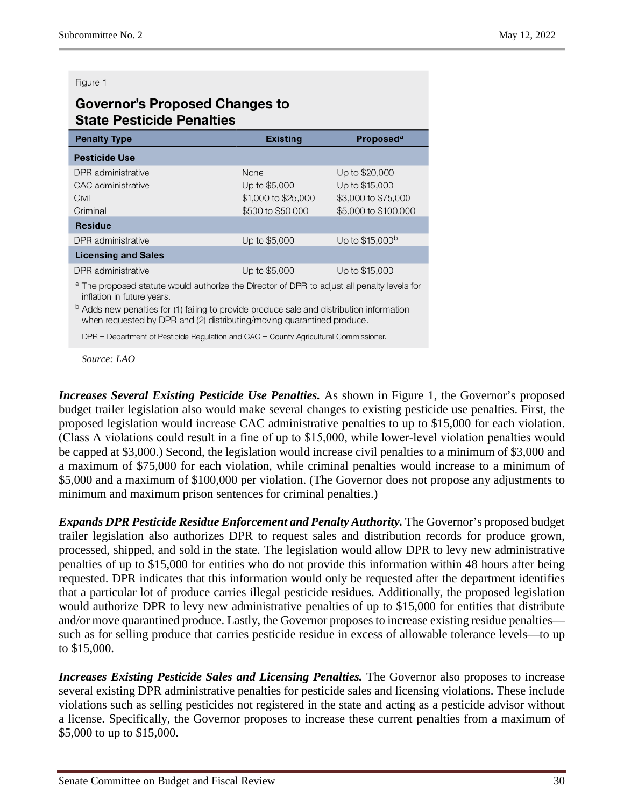#### Figure 1

### **Governor's Proposed Changes to State Pesticide Penalties**

| <b>Penalty Type</b>                                                                                                                                                                                                                                                                                                    | <b>Existing</b>                                                   | <b>Proposed<sup>a</sup></b>                                                     |
|------------------------------------------------------------------------------------------------------------------------------------------------------------------------------------------------------------------------------------------------------------------------------------------------------------------------|-------------------------------------------------------------------|---------------------------------------------------------------------------------|
| <b>Pesticide Use</b>                                                                                                                                                                                                                                                                                                   |                                                                   |                                                                                 |
| DPR administrative<br>CAC administrative<br>Civil<br>Criminal                                                                                                                                                                                                                                                          | None<br>Up to \$5,000<br>\$1,000 to \$25,000<br>\$500 to \$50,000 | Up to \$20,000<br>Up to \$15,000<br>\$3,000 to \$75,000<br>\$5,000 to \$100,000 |
| <b>Residue</b>                                                                                                                                                                                                                                                                                                         |                                                                   |                                                                                 |
| DPR administrative                                                                                                                                                                                                                                                                                                     | Up to \$5,000                                                     | Up to \$15,000 <sup>b</sup>                                                     |
| <b>Licensing and Sales</b>                                                                                                                                                                                                                                                                                             |                                                                   |                                                                                 |
| DPR administrative                                                                                                                                                                                                                                                                                                     | Up to \$5,000                                                     | Up to \$15,000                                                                  |
| <sup>a</sup> The proposed statute would authorize the Director of DPR to adjust all penalty levels for<br>inflation in future years.<br><sup>b</sup> Adds new penalties for (1) failing to provide produce sale and distribution information<br>when requested by DPR and (2) distributing/moving quarantined produce. |                                                                   |                                                                                 |
| $DPR = Department of Pesticide Regulation and CAC = County Agricultural Commissioner.$                                                                                                                                                                                                                                 |                                                                   |                                                                                 |

*Source: LAO*

*Increases Several Existing Pesticide Use Penalties.* As shown in Figure 1, the Governor's proposed budget trailer legislation also would make several changes to existing pesticide use penalties. First, the proposed legislation would increase CAC administrative penalties to up to \$15,000 for each violation. (Class A violations could result in a fine of up to \$15,000, while lower‑level violation penalties would be capped at \$3,000.) Second, the legislation would increase civil penalties to a minimum of \$3,000 and a maximum of \$75,000 for each violation, while criminal penalties would increase to a minimum of \$5,000 and a maximum of \$100,000 per violation. (The Governor does not propose any adjustments to minimum and maximum prison sentences for criminal penalties.)

*Expands DPR Pesticide Residue Enforcement and Penalty Authority.* The Governor's proposed budget trailer legislation also authorizes DPR to request sales and distribution records for produce grown, processed, shipped, and sold in the state. The legislation would allow DPR to levy new administrative penalties of up to \$15,000 for entities who do not provide this information within 48 hours after being requested. DPR indicates that this information would only be requested after the department identifies that a particular lot of produce carries illegal pesticide residues. Additionally, the proposed legislation would authorize DPR to levy new administrative penalties of up to \$15,000 for entities that distribute and/or move quarantined produce. Lastly, the Governor proposes to increase existing residue penalties such as for selling produce that carries pesticide residue in excess of allowable tolerance levels—to up to \$15,000.

*Increases Existing Pesticide Sales and Licensing Penalties.* The Governor also proposes to increase several existing DPR administrative penalties for pesticide sales and licensing violations. These include violations such as selling pesticides not registered in the state and acting as a pesticide advisor without a license. Specifically, the Governor proposes to increase these current penalties from a maximum of \$5,000 to up to \$15,000.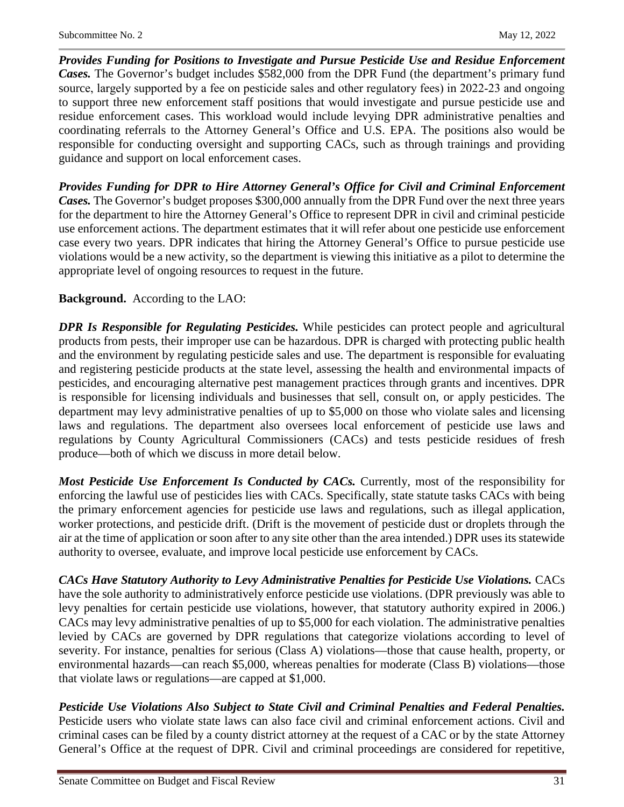*Provides Funding for Positions to Investigate and Pursue Pesticide Use and Residue Enforcement Cases.* The Governor's budget includes \$582,000 from the DPR Fund (the department's primary fund source, largely supported by a fee on pesticide sales and other regulatory fees) in 2022–23 and ongoing to support three new enforcement staff positions that would investigate and pursue pesticide use and residue enforcement cases. This workload would include levying DPR administrative penalties and coordinating referrals to the Attorney General's Office and U.S. EPA. The positions also would be responsible for conducting oversight and supporting CACs, such as through trainings and providing guidance and support on local enforcement cases.

*Provides Funding for DPR to Hire Attorney General's Office for Civil and Criminal Enforcement Cases.* The Governor's budget proposes \$300,000 annually from the DPR Fund over the next three years for the department to hire the Attorney General's Office to represent DPR in civil and criminal pesticide use enforcement actions. The department estimates that it will refer about one pesticide use enforcement case every two years. DPR indicates that hiring the Attorney General's Office to pursue pesticide use violations would be a new activity, so the department is viewing this initiative as a pilot to determine the appropriate level of ongoing resources to request in the future.

#### **Background.** According to the LAO:

*DPR Is Responsible for Regulating Pesticides.* While pesticides can protect people and agricultural products from pests, their improper use can be hazardous. DPR is charged with protecting public health and the environment by regulating pesticide sales and use. The department is responsible for evaluating and registering pesticide products at the state level, assessing the health and environmental impacts of pesticides, and encouraging alternative pest management practices through grants and incentives. DPR is responsible for licensing individuals and businesses that sell, consult on, or apply pesticides. The department may levy administrative penalties of up to \$5,000 on those who violate sales and licensing laws and regulations. The department also oversees local enforcement of pesticide use laws and regulations by County Agricultural Commissioners (CACs) and tests pesticide residues of fresh produce—both of which we discuss in more detail below.

*Most Pesticide Use Enforcement Is Conducted by CACs.* Currently, most of the responsibility for enforcing the lawful use of pesticides lies with CACs. Specifically, state statute tasks CACs with being the primary enforcement agencies for pesticide use laws and regulations, such as illegal application, worker protections, and pesticide drift. (Drift is the movement of pesticide dust or droplets through the air at the time of application or soon after to any site other than the area intended.) DPR uses its statewide authority to oversee, evaluate, and improve local pesticide use enforcement by CACs.

*CACs Have Statutory Authority to Levy Administrative Penalties for Pesticide Use Violations.* CACs have the sole authority to administratively enforce pesticide use violations. (DPR previously was able to levy penalties for certain pesticide use violations, however, that statutory authority expired in 2006.) CACs may levy administrative penalties of up to \$5,000 for each violation. The administrative penalties levied by CACs are governed by DPR regulations that categorize violations according to level of severity. For instance, penalties for serious (Class A) violations—those that cause health, property, or environmental hazards—can reach \$5,000, whereas penalties for moderate (Class B) violations—those that violate laws or regulations—are capped at \$1,000.

*Pesticide Use Violations Also Subject to State Civil and Criminal Penalties and Federal Penalties.* Pesticide users who violate state laws can also face civil and criminal enforcement actions. Civil and criminal cases can be filed by a county district attorney at the request of a CAC or by the state Attorney General's Office at the request of DPR. Civil and criminal proceedings are considered for repetitive,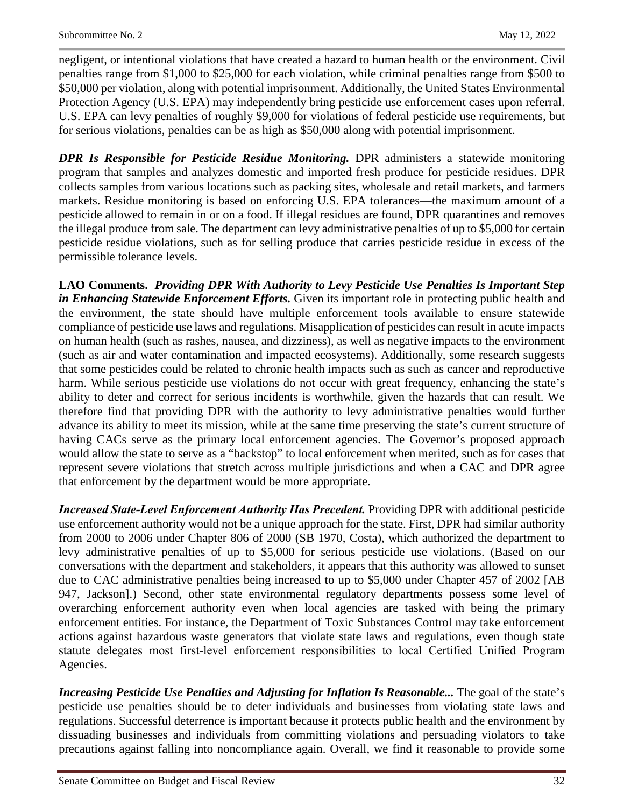negligent, or intentional violations that have created a hazard to human health or the environment. Civil penalties range from \$1,000 to \$25,000 for each violation, while criminal penalties range from \$500 to \$50,000 per violation, along with potential imprisonment. Additionally, the United States Environmental Protection Agency (U.S. EPA) may independently bring pesticide use enforcement cases upon referral. U.S. EPA can levy penalties of roughly \$9,000 for violations of federal pesticide use requirements, but for serious violations, penalties can be as high as \$50,000 along with potential imprisonment.

*DPR Is Responsible for Pesticide Residue Monitoring.* DPR administers a statewide monitoring program that samples and analyzes domestic and imported fresh produce for pesticide residues. DPR collects samples from various locations such as packing sites, wholesale and retail markets, and farmers markets. Residue monitoring is based on enforcing U.S. EPA tolerances—the maximum amount of a pesticide allowed to remain in or on a food. If illegal residues are found, DPR quarantines and removes the illegal produce from sale. The department can levy administrative penalties of up to \$5,000 for certain pesticide residue violations, such as for selling produce that carries pesticide residue in excess of the permissible tolerance levels.

**LAO Comments.** *Providing DPR With Authority to Levy Pesticide Use Penalties Is Important Step in Enhancing Statewide Enforcement Efforts.* Given its important role in protecting public health and the environment, the state should have multiple enforcement tools available to ensure statewide compliance of pesticide use laws and regulations. Misapplication of pesticides can result in acute impacts on human health (such as rashes, nausea, and dizziness), as well as negative impacts to the environment (such as air and water contamination and impacted ecosystems). Additionally, some research suggests that some pesticides could be related to chronic health impacts such as such as cancer and reproductive harm. While serious pesticide use violations do not occur with great frequency, enhancing the state's ability to deter and correct for serious incidents is worthwhile, given the hazards that can result. We therefore find that providing DPR with the authority to levy administrative penalties would further advance its ability to meet its mission, while at the same time preserving the state's current structure of having CACs serve as the primary local enforcement agencies. The Governor's proposed approach would allow the state to serve as a "backstop" to local enforcement when merited, such as for cases that represent severe violations that stretch across multiple jurisdictions and when a CAC and DPR agree that enforcement by the department would be more appropriate.

*Increased State‑Level Enforcement Authority Has Precedent.* Providing DPR with additional pesticide use enforcement authority would not be a unique approach for the state. First, DPR had similar authority from 2000 to 2006 under Chapter 806 of 2000 (SB 1970, Costa), which authorized the department to levy administrative penalties of up to \$5,000 for serious pesticide use violations. (Based on our conversations with the department and stakeholders, it appears that this authority was allowed to sunset due to CAC administrative penalties being increased to up to \$5,000 under Chapter 457 of 2002 [AB 947, Jackson].) Second, other state environmental regulatory departments possess some level of overarching enforcement authority even when local agencies are tasked with being the primary enforcement entities. For instance, the Department of Toxic Substances Control may take enforcement actions against hazardous waste generators that violate state laws and regulations, even though state statute delegates most first-level enforcement responsibilities to local Certified Unified Program Agencies.

*Increasing Pesticide Use Penalties and Adjusting for Inflation Is Reasonable... The goal of the state's* pesticide use penalties should be to deter individuals and businesses from violating state laws and regulations. Successful deterrence is important because it protects public health and the environment by dissuading businesses and individuals from committing violations and persuading violators to take precautions against falling into noncompliance again. Overall, we find it reasonable to provide some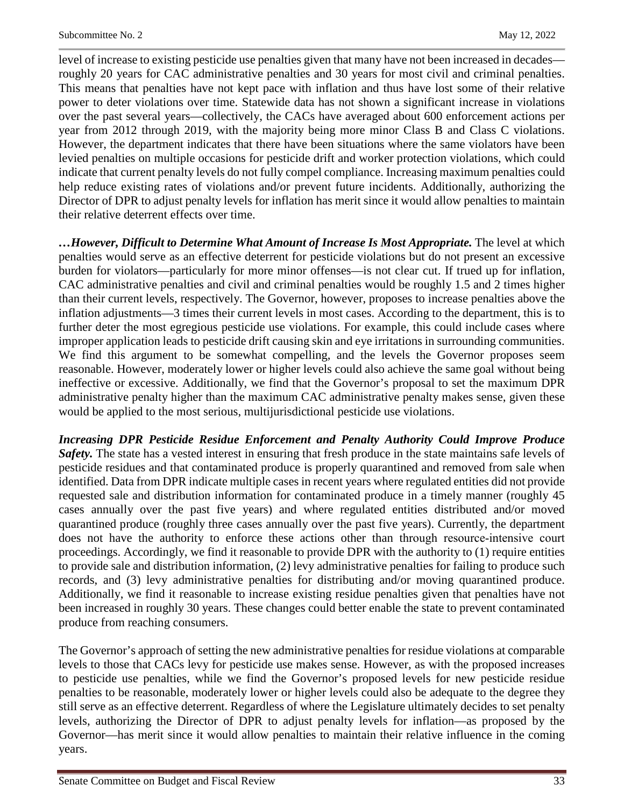level of increase to existing pesticide use penalties given that many have not been increased in decades roughly 20 years for CAC administrative penalties and 30 years for most civil and criminal penalties. This means that penalties have not kept pace with inflation and thus have lost some of their relative power to deter violations over time. Statewide data has not shown a significant increase in violations over the past several years—collectively, the CACs have averaged about 600 enforcement actions per year from 2012 through 2019, with the majority being more minor Class B and Class C violations. However, the department indicates that there have been situations where the same violators have been levied penalties on multiple occasions for pesticide drift and worker protection violations, which could indicate that current penalty levels do not fully compel compliance. Increasing maximum penalties could help reduce existing rates of violations and/or prevent future incidents. Additionally, authorizing the Director of DPR to adjust penalty levels for inflation has merit since it would allow penalties to maintain their relative deterrent effects over time.

*…However, Difficult to Determine What Amount of Increase Is Most Appropriate.* The level at which penalties would serve as an effective deterrent for pesticide violations but do not present an excessive burden for violators—particularly for more minor offenses—is not clear cut. If trued up for inflation, CAC administrative penalties and civil and criminal penalties would be roughly 1.5 and 2 times higher than their current levels, respectively. The Governor, however, proposes to increase penalties above the inflation adjustments—3 times their current levels in most cases. According to the department, this is to further deter the most egregious pesticide use violations. For example, this could include cases where improper application leads to pesticide drift causing skin and eye irritations in surrounding communities. We find this argument to be somewhat compelling, and the levels the Governor proposes seem reasonable. However, moderately lower or higher levels could also achieve the same goal without being ineffective or excessive. Additionally, we find that the Governor's proposal to set the maximum DPR administrative penalty higher than the maximum CAC administrative penalty makes sense, given these would be applied to the most serious, multijurisdictional pesticide use violations.

*Increasing DPR Pesticide Residue Enforcement and Penalty Authority Could Improve Produce Safety.* The state has a vested interest in ensuring that fresh produce in the state maintains safe levels of pesticide residues and that contaminated produce is properly quarantined and removed from sale when identified. Data from DPR indicate multiple cases in recent years where regulated entities did not provide requested sale and distribution information for contaminated produce in a timely manner (roughly 45 cases annually over the past five years) and where regulated entities distributed and/or moved quarantined produce (roughly three cases annually over the past five years). Currently, the department does not have the authority to enforce these actions other than through resource-intensive court proceedings. Accordingly, we find it reasonable to provide DPR with the authority to (1) require entities to provide sale and distribution information, (2) levy administrative penalties for failing to produce such records, and (3) levy administrative penalties for distributing and/or moving quarantined produce. Additionally, we find it reasonable to increase existing residue penalties given that penalties have not been increased in roughly 30 years. These changes could better enable the state to prevent contaminated produce from reaching consumers.

The Governor's approach of setting the new administrative penalties for residue violations at comparable levels to those that CACs levy for pesticide use makes sense. However, as with the proposed increases to pesticide use penalties, while we find the Governor's proposed levels for new pesticide residue penalties to be reasonable, moderately lower or higher levels could also be adequate to the degree they still serve as an effective deterrent. Regardless of where the Legislature ultimately decides to set penalty levels, authorizing the Director of DPR to adjust penalty levels for inflation—as proposed by the Governor—has merit since it would allow penalties to maintain their relative influence in the coming years.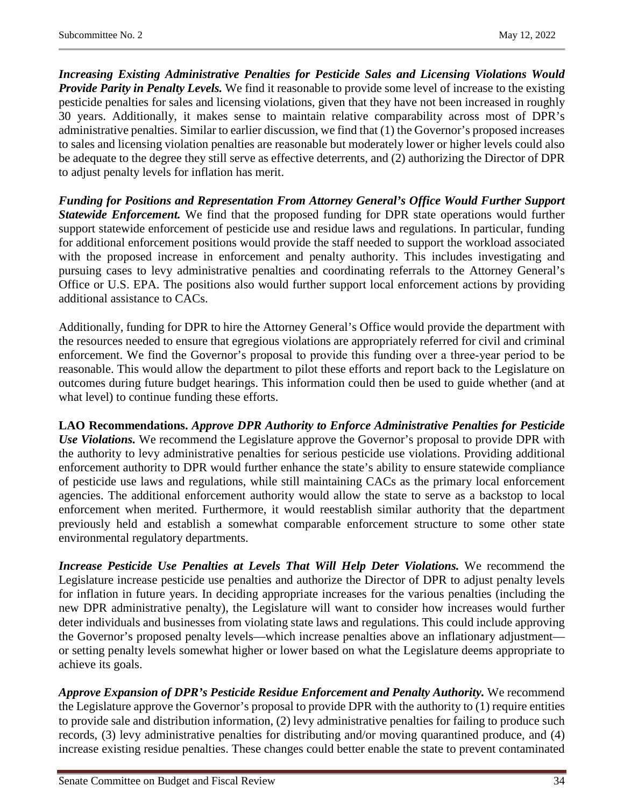*Increasing Existing Administrative Penalties for Pesticide Sales and Licensing Violations Would Provide Parity in Penalty Levels.* We find it reasonable to provide some level of increase to the existing pesticide penalties for sales and licensing violations, given that they have not been increased in roughly 30 years. Additionally, it makes sense to maintain relative comparability across most of DPR's administrative penalties. Similar to earlier discussion, we find that (1) the Governor's proposed increases to sales and licensing violation penalties are reasonable but moderately lower or higher levels could also be adequate to the degree they still serve as effective deterrents, and (2) authorizing the Director of DPR to adjust penalty levels for inflation has merit.

*Funding for Positions and Representation From Attorney General's Office Would Further Support Statewide Enforcement.* We find that the proposed funding for DPR state operations would further support statewide enforcement of pesticide use and residue laws and regulations. In particular, funding for additional enforcement positions would provide the staff needed to support the workload associated with the proposed increase in enforcement and penalty authority. This includes investigating and pursuing cases to levy administrative penalties and coordinating referrals to the Attorney General's Office or U.S. EPA. The positions also would further support local enforcement actions by providing additional assistance to CACs.

Additionally, funding for DPR to hire the Attorney General's Office would provide the department with the resources needed to ensure that egregious violations are appropriately referred for civil and criminal enforcement. We find the Governor's proposal to provide this funding over a three-year period to be reasonable. This would allow the department to pilot these efforts and report back to the Legislature on outcomes during future budget hearings. This information could then be used to guide whether (and at what level) to continue funding these efforts.

**LAO Recommendations.** *Approve DPR Authority to Enforce Administrative Penalties for Pesticide Use Violations.* We recommend the Legislature approve the Governor's proposal to provide DPR with the authority to levy administrative penalties for serious pesticide use violations. Providing additional enforcement authority to DPR would further enhance the state's ability to ensure statewide compliance of pesticide use laws and regulations, while still maintaining CACs as the primary local enforcement agencies. The additional enforcement authority would allow the state to serve as a backstop to local enforcement when merited. Furthermore, it would reestablish similar authority that the department previously held and establish a somewhat comparable enforcement structure to some other state environmental regulatory departments.

*Increase Pesticide Use Penalties at Levels That Will Help Deter Violations.* We recommend the Legislature increase pesticide use penalties and authorize the Director of DPR to adjust penalty levels for inflation in future years. In deciding appropriate increases for the various penalties (including the new DPR administrative penalty), the Legislature will want to consider how increases would further deter individuals and businesses from violating state laws and regulations. This could include approving the Governor's proposed penalty levels—which increase penalties above an inflationary adjustment or setting penalty levels somewhat higher or lower based on what the Legislature deems appropriate to achieve its goals.

*Approve Expansion of DPR's Pesticide Residue Enforcement and Penalty Authority.* We recommend the Legislature approve the Governor's proposal to provide DPR with the authority to (1) require entities to provide sale and distribution information, (2) levy administrative penalties for failing to produce such records, (3) levy administrative penalties for distributing and/or moving quarantined produce, and (4) increase existing residue penalties. These changes could better enable the state to prevent contaminated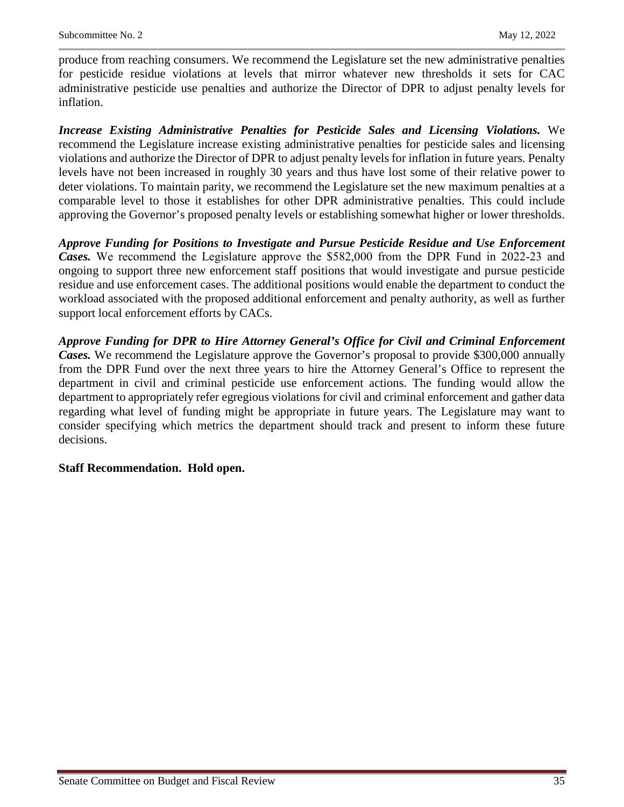produce from reaching consumers. We recommend the Legislature set the new administrative penalties for pesticide residue violations at levels that mirror whatever new thresholds it sets for CAC administrative pesticide use penalties and authorize the Director of DPR to adjust penalty levels for inflation.

*Increase Existing Administrative Penalties for Pesticide Sales and Licensing Violations.* We recommend the Legislature increase existing administrative penalties for pesticide sales and licensing violations and authorize the Director of DPR to adjust penalty levels for inflation in future years. Penalty levels have not been increased in roughly 30 years and thus have lost some of their relative power to deter violations. To maintain parity, we recommend the Legislature set the new maximum penalties at a comparable level to those it establishes for other DPR administrative penalties. This could include approving the Governor's proposed penalty levels or establishing somewhat higher or lower thresholds.

*Approve Funding for Positions to Investigate and Pursue Pesticide Residue and Use Enforcement Cases.* We recommend the Legislature approve the \$582,000 from the DPR Fund in 2022‑23 and ongoing to support three new enforcement staff positions that would investigate and pursue pesticide residue and use enforcement cases. The additional positions would enable the department to conduct the workload associated with the proposed additional enforcement and penalty authority, as well as further support local enforcement efforts by CACs.

*Approve Funding for DPR to Hire Attorney General's Office for Civil and Criminal Enforcement Cases.* We recommend the Legislature approve the Governor's proposal to provide \$300,000 annually from the DPR Fund over the next three years to hire the Attorney General's Office to represent the department in civil and criminal pesticide use enforcement actions. The funding would allow the department to appropriately refer egregious violations for civil and criminal enforcement and gather data regarding what level of funding might be appropriate in future years. The Legislature may want to consider specifying which metrics the department should track and present to inform these future decisions.

#### **Staff Recommendation. Hold open.**